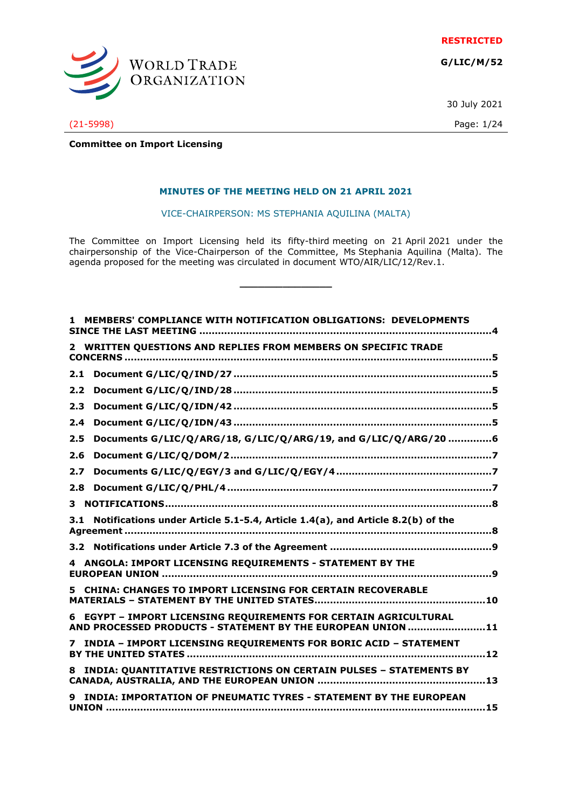**RESTRICTED**

**G/LIC/M/52**



(21-5998) Page: 1/24

30 July 2021

# **Committee on Import Licensing**

#### **MINUTES OF THE MEETING HELD ON 21 APRIL 2021**

VICE-CHAIRPERSON: MS STEPHANIA AQUILINA (MALTA)

The Committee on Import Licensing held its fifty-third meeting on 21 April 2021 under the chairpersonship of the Vice-Chairperson of the Committee, Ms Stephania Aquilina (Malta). The agenda proposed for the meeting was circulated in document WTO/AIR/LIC/12/Rev.1.

**\_\_\_\_\_\_\_\_\_\_\_\_\_\_\_**

|     | MEMBERS' COMPLIANCE WITH NOTIFICATION OBLIGATIONS: DEVELOPMENTS                                                                 |
|-----|---------------------------------------------------------------------------------------------------------------------------------|
|     | 2 WRITTEN QUESTIONS AND REPLIES FROM MEMBERS ON SPECIFIC TRADE                                                                  |
| 2.1 |                                                                                                                                 |
| 2.2 |                                                                                                                                 |
| 2.3 |                                                                                                                                 |
| 2.4 |                                                                                                                                 |
| 2.5 | Documents G/LIC/Q/ARG/18, G/LIC/Q/ARG/19, and G/LIC/Q/ARG/20 6                                                                  |
| 2.6 |                                                                                                                                 |
| 2.7 |                                                                                                                                 |
| 2.8 |                                                                                                                                 |
| 3.  |                                                                                                                                 |
|     | 3.1 Notifications under Article 5.1-5.4, Article 1.4(a), and Article 8.2(b) of the                                              |
|     |                                                                                                                                 |
|     | 4 ANGOLA: IMPORT LICENSING REQUIREMENTS - STATEMENT BY THE                                                                      |
|     | 5 CHINA: CHANGES TO IMPORT LICENSING FOR CERTAIN RECOVERABLE                                                                    |
|     | 6 EGYPT - IMPORT LICENSING REQUIREMENTS FOR CERTAIN AGRICULTURAL<br>AND PROCESSED PRODUCTS - STATEMENT BY THE EUROPEAN UNION 11 |
|     | 7 INDIA - IMPORT LICENSING REQUIREMENTS FOR BORIC ACID - STATEMENT                                                              |
|     | 8 INDIA: QUANTITATIVE RESTRICTIONS ON CERTAIN PULSES - STATEMENTS BY                                                            |
|     | INDIA: IMPORTATION OF PNEUMATIC TYRES - STATEMENT BY THE EUROPEAN                                                               |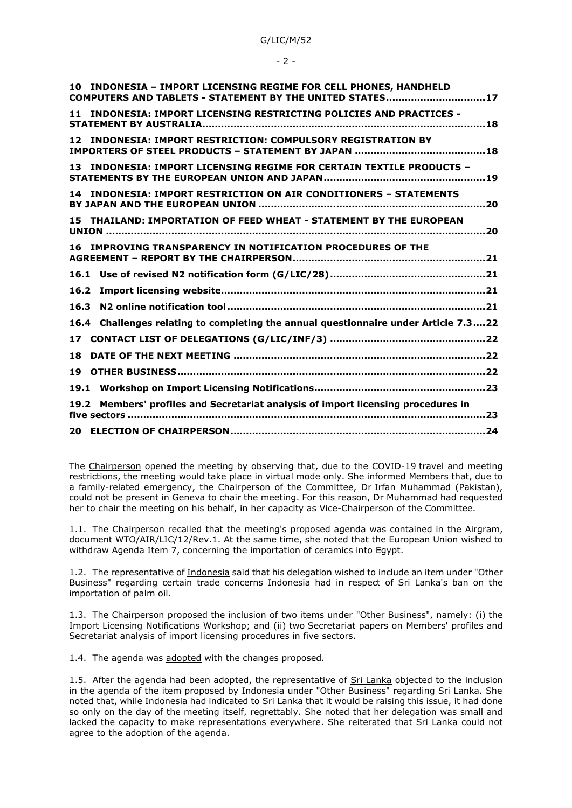G/LIC/M/52

#### - 2 -

| 10 INDONESIA - IMPORT LICENSING REGIME FOR CELL PHONES, HANDHELD<br>COMPUTERS AND TABLETS - STATEMENT BY THE UNITED STATES17 |
|------------------------------------------------------------------------------------------------------------------------------|
| <b>INDONESIA: IMPORT LICENSING RESTRICTING POLICIES AND PRACTICES -</b><br>11                                                |
| INDONESIA: IMPORT RESTRICTION: COMPULSORY REGISTRATION BY<br>12                                                              |
| <b>INDONESIA: IMPORT LICENSING REGIME FOR CERTAIN TEXTILE PRODUCTS -</b><br>13.<br>19                                        |
| <b>INDONESIA: IMPORT RESTRICTION ON AIR CONDITIONERS - STATEMENTS</b><br>14                                                  |
| 15 THAILAND: IMPORTATION OF FEED WHEAT - STATEMENT BY THE EUROPEAN                                                           |
| 16 IMPROVING TRANSPARENCY IN NOTIFICATION PROCEDURES OF THE                                                                  |
|                                                                                                                              |
| 16.2                                                                                                                         |
| 16.3                                                                                                                         |
| Challenges relating to completing the annual questionnaire under Article 7.322<br>16.4                                       |
| 17 <sub>1</sub>                                                                                                              |
| 18                                                                                                                           |
| 19                                                                                                                           |
|                                                                                                                              |
| Members' profiles and Secretariat analysis of import licensing procedures in<br>19.2                                         |
|                                                                                                                              |
|                                                                                                                              |

The Chairperson opened the meeting by observing that, due to the COVID-19 travel and meeting restrictions, the meeting would take place in virtual mode only. She informed Members that, due to a family-related emergency, the Chairperson of the Committee, Dr Irfan Muhammad (Pakistan), could not be present in Geneva to chair the meeting. For this reason, Dr Muhammad had requested her to chair the meeting on his behalf, in her capacity as Vice-Chairperson of the Committee.

1.1. The Chairperson recalled that the meeting's proposed agenda was contained in the Airgram, document WTO/AIR/LIC/12/Rev.1. At the same time, she noted that the European Union wished to withdraw Agenda Item 7, concerning the importation of ceramics into Egypt.

1.2. The representative of Indonesia said that his delegation wished to include an item under "Other Business" regarding certain trade concerns Indonesia had in respect of Sri Lanka's ban on the importation of palm oil.

1.3. The Chairperson proposed the inclusion of two items under "Other Business", namely: (i) the Import Licensing Notifications Workshop; and (ii) two Secretariat papers on Members' profiles and Secretariat analysis of import licensing procedures in five sectors.

1.4. The agenda was adopted with the changes proposed.

1.5. After the agenda had been adopted, the representative of Sri Lanka objected to the inclusion in the agenda of the item proposed by Indonesia under "Other Business" regarding Sri Lanka. She noted that, while Indonesia had indicated to Sri Lanka that it would be raising this issue, it had done so only on the day of the meeting itself, regrettably. She noted that her delegation was small and lacked the capacity to make representations everywhere. She reiterated that Sri Lanka could not agree to the adoption of the agenda.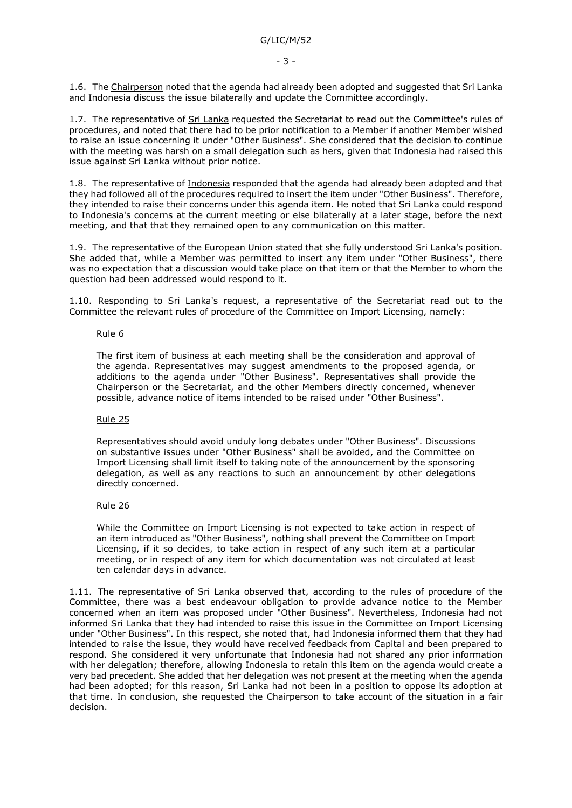1.6. The Chairperson noted that the agenda had already been adopted and suggested that Sri Lanka and Indonesia discuss the issue bilaterally and update the Committee accordingly.

1.7. The representative of Sri Lanka requested the Secretariat to read out the Committee's rules of procedures, and noted that there had to be prior notification to a Member if another Member wished to raise an issue concerning it under "Other Business". She considered that the decision to continue with the meeting was harsh on a small delegation such as hers, given that Indonesia had raised this issue against Sri Lanka without prior notice.

1.8. The representative of Indonesia responded that the agenda had already been adopted and that they had followed all of the procedures required to insert the item under "Other Business". Therefore, they intended to raise their concerns under this agenda item. He noted that Sri Lanka could respond to Indonesia's concerns at the current meeting or else bilaterally at a later stage, before the next meeting, and that that they remained open to any communication on this matter.

1.9. The representative of the European Union stated that she fully understood Sri Lanka's position. She added that, while a Member was permitted to insert any item under "Other Business", there was no expectation that a discussion would take place on that item or that the Member to whom the question had been addressed would respond to it.

1.10. Responding to Sri Lanka's request, a representative of the Secretariat read out to the Committee the relevant rules of procedure of the Committee on Import Licensing, namely:

#### Rule 6

The first item of business at each meeting shall be the consideration and approval of the agenda. Representatives may suggest amendments to the proposed agenda, or additions to the agenda under "Other Business". Representatives shall provide the Chairperson or the Secretariat, and the other Members directly concerned, whenever possible, advance notice of items intended to be raised under "Other Business".

## Rule 25

Representatives should avoid unduly long debates under "Other Business". Discussions on substantive issues under "Other Business" shall be avoided, and the Committee on Import Licensing shall limit itself to taking note of the announcement by the sponsoring delegation, as well as any reactions to such an announcement by other delegations directly concerned.

## Rule 26

While the Committee on Import Licensing is not expected to take action in respect of an item introduced as "Other Business", nothing shall prevent the Committee on Import Licensing, if it so decides, to take action in respect of any such item at a particular meeting, or in respect of any item for which documentation was not circulated at least ten calendar days in advance.

1.11. The representative of Sri Lanka observed that, according to the rules of procedure of the Committee, there was a best endeavour obligation to provide advance notice to the Member concerned when an item was proposed under "Other Business". Nevertheless, Indonesia had not informed Sri Lanka that they had intended to raise this issue in the Committee on Import Licensing under "Other Business". In this respect, she noted that, had Indonesia informed them that they had intended to raise the issue, they would have received feedback from Capital and been prepared to respond. She considered it very unfortunate that Indonesia had not shared any prior information with her delegation; therefore, allowing Indonesia to retain this item on the agenda would create a very bad precedent. She added that her delegation was not present at the meeting when the agenda had been adopted; for this reason, Sri Lanka had not been in a position to oppose its adoption at that time. In conclusion, she requested the Chairperson to take account of the situation in a fair decision.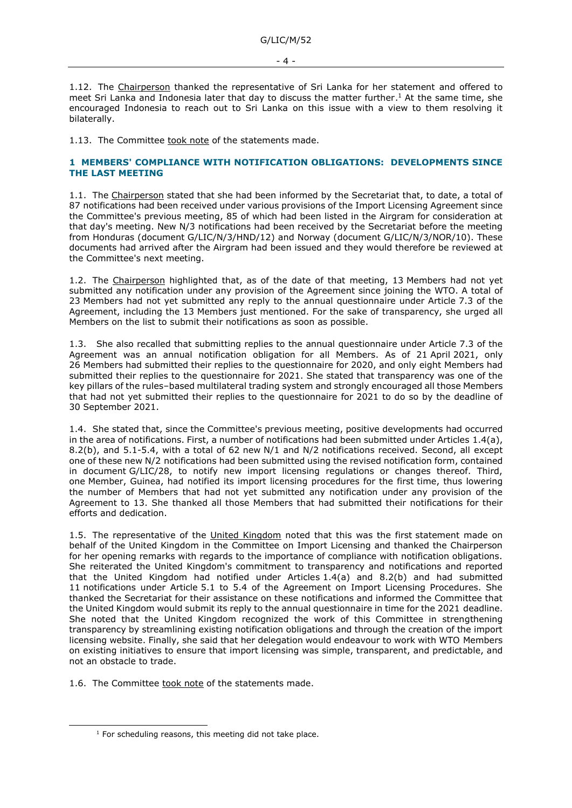1.12. The Chairperson thanked the representative of Sri Lanka for her statement and offered to meet Sri Lanka and Indonesia later that day to discuss the matter further. <sup>1</sup> At the same time, she encouraged Indonesia to reach out to Sri Lanka on this issue with a view to them resolving it bilaterally.

1.13. The Committee took note of the statements made.

## <span id="page-3-0"></span>**1 MEMBERS' COMPLIANCE WITH NOTIFICATION OBLIGATIONS: DEVELOPMENTS SINCE THE LAST MEETING**

1.1. The Chairperson stated that she had been informed by the Secretariat that, to date, a total of 87 notifications had been received under various provisions of the Import Licensing Agreement since the Committee's previous meeting, 85 of which had been listed in the Airgram for consideration at that day's meeting. New N/3 notifications had been received by the Secretariat before the meeting from Honduras (document G/LIC/N/3/HND/12) and Norway (document G/LIC/N/3/NOR/10). These documents had arrived after the Airgram had been issued and they would therefore be reviewed at the Committee's next meeting.

1.2. The Chairperson highlighted that, as of the date of that meeting, 13 Members had not yet submitted any notification under any provision of the Agreement since joining the WTO. A total of 23 Members had not yet submitted any reply to the annual questionnaire under Article 7.3 of the Agreement, including the 13 Members just mentioned. For the sake of transparency, she urged all Members on the list to submit their notifications as soon as possible.

1.3. She also recalled that submitting replies to the annual questionnaire under Article 7.3 of the Agreement was an annual notification obligation for all Members. As of 21 April 2021, only 26 Members had submitted their replies to the questionnaire for 2020, and only eight Members had submitted their replies to the questionnaire for 2021. She stated that transparency was one of the key pillars of the rules–based multilateral trading system and strongly encouraged all those Members that had not yet submitted their replies to the questionnaire for 2021 to do so by the deadline of 30 September 2021.

1.4. She stated that, since the Committee's previous meeting, positive developments had occurred in the area of notifications. First, a number of notifications had been submitted under Articles 1.4(a), 8.2(b), and 5.1-5.4, with a total of 62 new N/1 and N/2 notifications received. Second, all except one of these new N/2 notifications had been submitted using the revised notification form, contained in document G/LIC/28, to notify new import licensing regulations or changes thereof. Third, one Member, Guinea, had notified its import licensing procedures for the first time, thus lowering the number of Members that had not yet submitted any notification under any provision of the Agreement to 13. She thanked all those Members that had submitted their notifications for their efforts and dedication.

1.5. The representative of the United Kingdom noted that this was the first statement made on behalf of the United Kingdom in the Committee on Import Licensing and thanked the Chairperson for her opening remarks with regards to the importance of compliance with notification obligations. She reiterated the United Kingdom's commitment to transparency and notifications and reported that the United Kingdom had notified under Articles 1.4(a) and 8.2(b) and had submitted 11 notifications under Article 5.1 to 5.4 of the Agreement on Import Licensing Procedures. She thanked the Secretariat for their assistance on these notifications and informed the Committee that the United Kingdom would submit its reply to the annual questionnaire in time for the 2021 deadline. She noted that the United Kingdom recognized the work of this Committee in strengthening transparency by streamlining existing notification obligations and through the creation of the import licensing website. Finally, she said that her delegation would endeavour to work with WTO Members on existing initiatives to ensure that import licensing was simple, transparent, and predictable, and not an obstacle to trade.

1.6. The Committee took note of the statements made.

 $1$  For scheduling reasons, this meeting did not take place.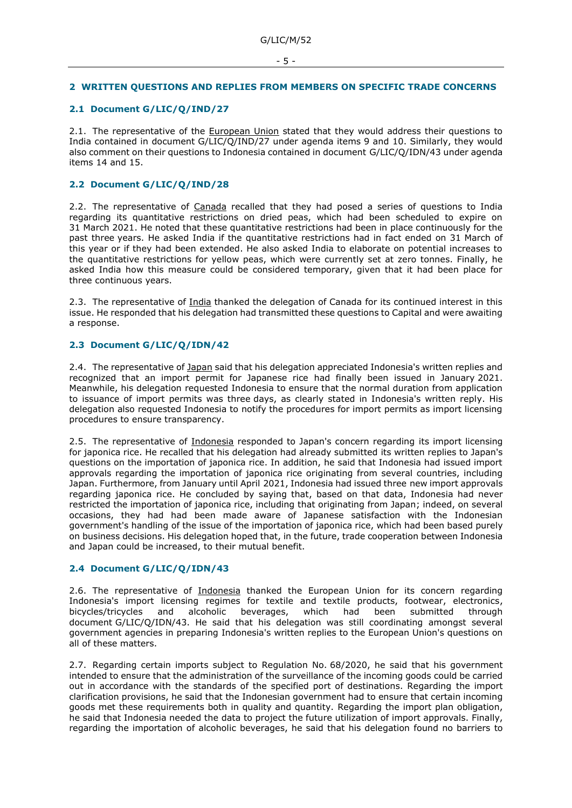#### - 5 -

## <span id="page-4-0"></span>**2 WRITTEN QUESTIONS AND REPLIES FROM MEMBERS ON SPECIFIC TRADE CONCERNS**

# <span id="page-4-1"></span>**2.1 Document G/LIC/Q/IND/27**

2.1. The representative of the European Union stated that they would address their questions to India contained in document G/LIC/Q/IND/27 under agenda items 9 and 10. Similarly, they would also comment on their questions to Indonesia contained in document G/LIC/Q/IDN/43 under agenda items 14 and 15.

## <span id="page-4-2"></span>**2.2 Document G/LIC/Q/IND/28**

2.2. The representative of Canada recalled that they had posed a series of questions to India regarding its quantitative restrictions on dried peas, which had been scheduled to expire on 31 March 2021. He noted that these quantitative restrictions had been in place continuously for the past three years. He asked India if the quantitative restrictions had in fact ended on 31 March of this year or if they had been extended. He also asked India to elaborate on potential increases to the quantitative restrictions for yellow peas, which were currently set at zero tonnes. Finally, he asked India how this measure could be considered temporary, given that it had been place for three continuous years.

2.3. The representative of India thanked the delegation of Canada for its continued interest in this issue. He responded that his delegation had transmitted these questions to Capital and were awaiting a response.

## <span id="page-4-3"></span>**2.3 Document G/LIC/Q/IDN/42**

2.4. The representative of Japan said that his delegation appreciated Indonesia's written replies and recognized that an import permit for Japanese rice had finally been issued in January 2021. Meanwhile, his delegation requested Indonesia to ensure that the normal duration from application to issuance of import permits was three days, as clearly stated in Indonesia's written reply. His delegation also requested Indonesia to notify the procedures for import permits as import licensing procedures to ensure transparency.

2.5. The representative of Indonesia responded to Japan's concern regarding its import licensing for japonica rice. He recalled that his delegation had already submitted its written replies to Japan's questions on the importation of japonica rice. In addition, he said that Indonesia had issued import approvals regarding the importation of japonica rice originating from several countries, including Japan. Furthermore, from January until April 2021, Indonesia had issued three new import approvals regarding japonica rice. He concluded by saying that, based on that data, Indonesia had never restricted the importation of japonica rice, including that originating from Japan; indeed, on several occasions, they had had been made aware of Japanese satisfaction with the Indonesian government's handling of the issue of the importation of japonica rice, which had been based purely on business decisions. His delegation hoped that, in the future, trade cooperation between Indonesia and Japan could be increased, to their mutual benefit.

## <span id="page-4-4"></span>**2.4 Document G/LIC/Q/IDN/43**

2.6. The representative of Indonesia thanked the European Union for its concern regarding Indonesia's import licensing regimes for textile and textile products, footwear, electronics, bicycles/tricycles and alcoholic beverages, which had been submitted through document G/LIC/Q/IDN/43. He said that his delegation was still coordinating amongst several government agencies in preparing Indonesia's written replies to the European Union's questions on all of these matters.

2.7. Regarding certain imports subject to Regulation No. 68/2020, he said that his government intended to ensure that the administration of the surveillance of the incoming goods could be carried out in accordance with the standards of the specified port of destinations. Regarding the import clarification provisions, he said that the Indonesian government had to ensure that certain incoming goods met these requirements both in quality and quantity. Regarding the import plan obligation, he said that Indonesia needed the data to project the future utilization of import approvals. Finally, regarding the importation of alcoholic beverages, he said that his delegation found no barriers to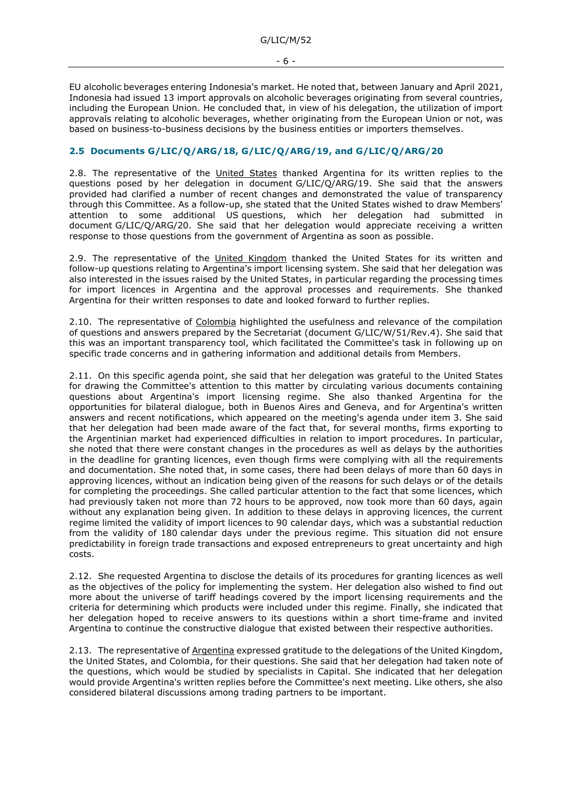- 6 -

EU alcoholic beverages entering Indonesia's market. He noted that, between January and April 2021, Indonesia had issued 13 import approvals on alcoholic beverages originating from several countries, including the European Union. He concluded that, in view of his delegation, the utilization of import approvals relating to alcoholic beverages, whether originating from the European Union or not, was based on business-to-business decisions by the business entities or importers themselves.

## <span id="page-5-0"></span>**2.5 Documents G/LIC/Q/ARG/18, G/LIC/Q/ARG/19, and G/LIC/Q/ARG/20**

2.8. The representative of the United States thanked Argentina for its written replies to the questions posed by her delegation in document G/LIC/Q/ARG/19. She said that the answers provided had clarified a number of recent changes and demonstrated the value of transparency through this Committee. As a follow-up, she stated that the United States wished to draw Members' attention to some additional US questions, which her delegation had submitted in document G/LIC/Q/ARG/20. She said that her delegation would appreciate receiving a written response to those questions from the government of Argentina as soon as possible.

2.9. The representative of the United Kingdom thanked the United States for its written and follow-up questions relating to Argentina's import licensing system. She said that her delegation was also interested in the issues raised by the United States, in particular regarding the processing times for import licences in Argentina and the approval processes and requirements. She thanked Argentina for their written responses to date and looked forward to further replies.

2.10. The representative of Colombia highlighted the usefulness and relevance of the compilation of questions and answers prepared by the Secretariat (document G/LIC/W/51/Rev.4). She said that this was an important transparency tool, which facilitated the Committee's task in following up on specific trade concerns and in gathering information and additional details from Members.

2.11. On this specific agenda point, she said that her delegation was grateful to the United States for drawing the Committee's attention to this matter by circulating various documents containing questions about Argentina's import licensing regime. She also thanked Argentina for the opportunities for bilateral dialogue, both in Buenos Aires and Geneva, and for Argentina's written answers and recent notifications, which appeared on the meeting's agenda under item 3. She said that her delegation had been made aware of the fact that, for several months, firms exporting to the Argentinian market had experienced difficulties in relation to import procedures. In particular, she noted that there were constant changes in the procedures as well as delays by the authorities in the deadline for granting licences, even though firms were complying with all the requirements and documentation. She noted that, in some cases, there had been delays of more than 60 days in approving licences, without an indication being given of the reasons for such delays or of the details for completing the proceedings. She called particular attention to the fact that some licences, which had previously taken not more than 72 hours to be approved, now took more than 60 days, again without any explanation being given. In addition to these delays in approving licences, the current regime limited the validity of import licences to 90 calendar days, which was a substantial reduction from the validity of 180 calendar days under the previous regime. This situation did not ensure predictability in foreign trade transactions and exposed entrepreneurs to great uncertainty and high costs.

2.12. She requested Argentina to disclose the details of its procedures for granting licences as well as the objectives of the policy for implementing the system. Her delegation also wished to find out more about the universe of tariff headings covered by the import licensing requirements and the criteria for determining which products were included under this regime. Finally, she indicated that her delegation hoped to receive answers to its questions within a short time-frame and invited Argentina to continue the constructive dialogue that existed between their respective authorities.

2.13. The representative of Argentina expressed gratitude to the delegations of the United Kingdom, the United States, and Colombia, for their questions. She said that her delegation had taken note of the questions, which would be studied by specialists in Capital. She indicated that her delegation would provide Argentina's written replies before the Committee's next meeting. Like others, she also considered bilateral discussions among trading partners to be important.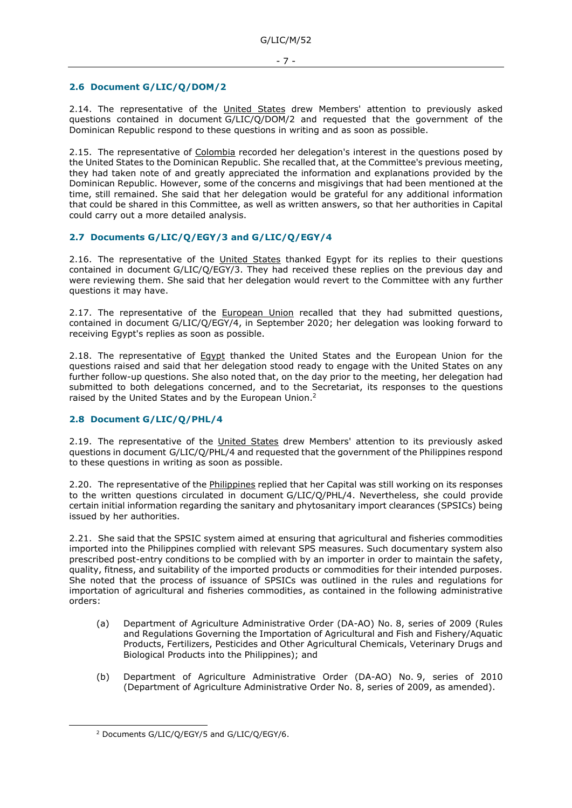## <span id="page-6-0"></span>**2.6 Document G/LIC/Q/DOM/2**

2.14. The representative of the United States drew Members' attention to previously asked questions contained in document G/LIC/Q/DOM/2 and requested that the government of the Dominican Republic respond to these questions in writing and as soon as possible.

2.15. The representative of Colombia recorded her delegation's interest in the questions posed by the United States to the Dominican Republic. She recalled that, at the Committee's previous meeting, they had taken note of and greatly appreciated the information and explanations provided by the Dominican Republic. However, some of the concerns and misgivings that had been mentioned at the time, still remained. She said that her delegation would be grateful for any additional information that could be shared in this Committee, as well as written answers, so that her authorities in Capital could carry out a more detailed analysis.

# <span id="page-6-1"></span>**2.7 Documents G/LIC/Q/EGY/3 and G/LIC/Q/EGY/4**

2.16. The representative of the United States thanked Egypt for its replies to their questions contained in document G/LIC/Q/EGY/3. They had received these replies on the previous day and were reviewing them. She said that her delegation would revert to the Committee with any further questions it may have.

2.17. The representative of the European Union recalled that they had submitted questions, contained in document G/LIC/Q/EGY/4, in September 2020; her delegation was looking forward to receiving Egypt's replies as soon as possible.

2.18. The representative of Egypt thanked the United States and the European Union for the questions raised and said that her delegation stood ready to engage with the United States on any further follow-up questions. She also noted that, on the day prior to the meeting, her delegation had submitted to both delegations concerned, and to the Secretariat, its responses to the questions raised by the United States and by the European Union.<sup>2</sup>

# <span id="page-6-2"></span>**2.8 Document G/LIC/Q/PHL/4**

2.19. The representative of the United States drew Members' attention to its previously asked questions in document G/LIC/Q/PHL/4 and requested that the government of the Philippines respond to these questions in writing as soon as possible.

2.20. The representative of the Philippines replied that her Capital was still working on its responses to the written questions circulated in document G/LIC/Q/PHL/4. Nevertheless, she could provide certain initial information regarding the sanitary and phytosanitary import clearances (SPSICs) being issued by her authorities.

2.21. She said that the SPSIC system aimed at ensuring that agricultural and fisheries commodities imported into the Philippines complied with relevant SPS measures. Such documentary system also prescribed post-entry conditions to be complied with by an importer in order to maintain the safety, quality, fitness, and suitability of the imported products or commodities for their intended purposes. She noted that the process of issuance of SPSICs was outlined in the rules and regulations for importation of agricultural and fisheries commodities, as contained in the following administrative orders:

- (a) Department of Agriculture Administrative Order (DA-AO) No. 8, series of 2009 (Rules and Regulations Governing the Importation of Agricultural and Fish and Fishery/Aquatic Products, Fertilizers, Pesticides and Other Agricultural Chemicals, Veterinary Drugs and Biological Products into the Philippines); and
- (b) Department of Agriculture Administrative Order (DA-AO) No. 9, series of 2010 (Department of Agriculture Administrative Order No. 8, series of 2009, as amended).

<sup>2</sup> Documents G/LIC/Q/EGY/5 and G/LIC/Q/EGY/6.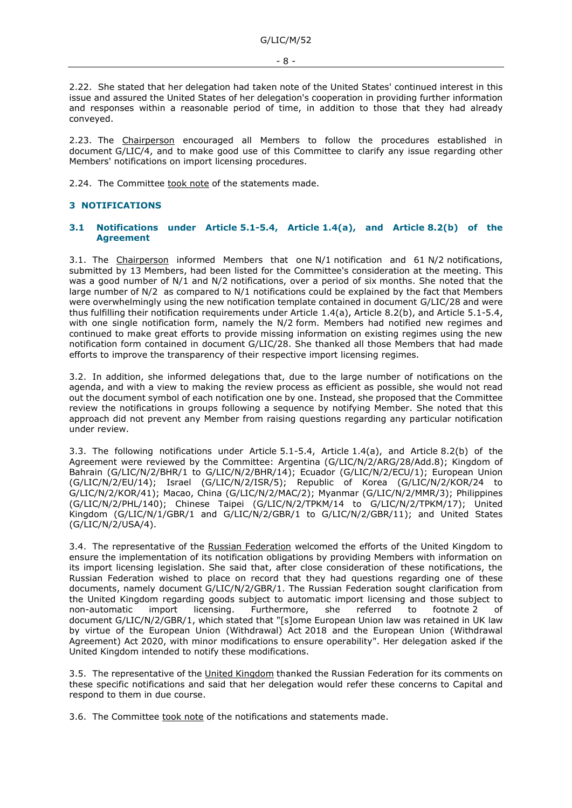2.22. She stated that her delegation had taken note of the United States' continued interest in this issue and assured the United States of her delegation's cooperation in providing further information and responses within a reasonable period of time, in addition to those that they had already conveyed.

2.23. The Chairperson encouraged all Members to follow the procedures established in document G/LIC/4, and to make good use of this Committee to clarify any issue regarding other Members' notifications on import licensing procedures.

2.24. The Committee took note of the statements made.

## <span id="page-7-0"></span>**3 NOTIFICATIONS**

#### <span id="page-7-1"></span>**3.1 Notifications under Article 5.1-5.4, Article 1.4(a), and Article 8.2(b) of the Agreement**

3.1. The Chairperson informed Members that one N/1 notification and 61 N/2 notifications, submitted by 13 Members, had been listed for the Committee's consideration at the meeting. This was a good number of N/1 and N/2 notifications, over a period of six months. She noted that the large number of N/2 as compared to N/1 notifications could be explained by the fact that Members were overwhelmingly using the new notification template contained in document G/LIC/28 and were thus fulfilling their notification requirements under Article 1.4(a), Article 8.2(b), and Article 5.1-5.4, with one single notification form, namely the N/2 form. Members had notified new regimes and continued to make great efforts to provide missing information on existing regimes using the new notification form contained in document G/LIC/28. She thanked all those Members that had made efforts to improve the transparency of their respective import licensing regimes.

3.2. In addition, she informed delegations that, due to the large number of notifications on the agenda, and with a view to making the review process as efficient as possible, she would not read out the document symbol of each notification one by one. Instead, she proposed that the Committee review the notifications in groups following a sequence by notifying Member. She noted that this approach did not prevent any Member from raising questions regarding any particular notification under review.

3.3. The following notifications under Article 5.1-5.4, Article 1.4(a), and Article 8.2(b) of the Agreement were reviewed by the Committee: Argentina (G/LIC/N/2/ARG/28/Add.8); Kingdom of Bahrain (G/LIC/N/2/BHR/1 to G/LIC/N/2/BHR/14); Ecuador (G/LIC/N/2/ECU/1); European Union (G/LIC/N/2/EU/14); Israel (G/LIC/N/2/ISR/5); Republic of Korea (G/LIC/N/2/KOR/24 to G/LIC/N/2/KOR/41); Macao, China (G/LIC/N/2/MAC/2); Myanmar (G/LIC/N/2/MMR/3); Philippines (G/LIC/N/2/PHL/140); Chinese Taipei (G/LIC/N/2/TPKM/14 to G/LIC/N/2/TPKM/17); United Kingdom (G/LIC/N/1/GBR/1 and G/LIC/N/2/GBR/1 to G/LIC/N/2/GBR/11); and United States (G/LIC/N/2/USA/4).

3.4. The representative of the Russian Federation welcomed the efforts of the United Kingdom to ensure the implementation of its notification obligations by providing Members with information on its import licensing legislation. She said that, after close consideration of these notifications, the Russian Federation wished to place on record that they had questions regarding one of these documents, namely document G/LIC/N/2/GBR/1. The Russian Federation sought clarification from the United Kingdom regarding goods subject to automatic import licensing and those subject to non-automatic import licensing. Furthermore, she referred to footnote 2 of non-automatic import licensing. Furthermore, she referred to footnote 2 of document G/LIC/N/2/GBR/1, which stated that "[s]ome European Union law was retained in UK law by virtue of the European Union (Withdrawal) Act 2018 and the European Union (Withdrawal Agreement) Act 2020, with minor modifications to ensure operability". Her delegation asked if the United Kingdom intended to notify these modifications.

3.5. The representative of the United Kingdom thanked the Russian Federation for its comments on these specific notifications and said that her delegation would refer these concerns to Capital and respond to them in due course.

3.6. The Committee took note of the notifications and statements made.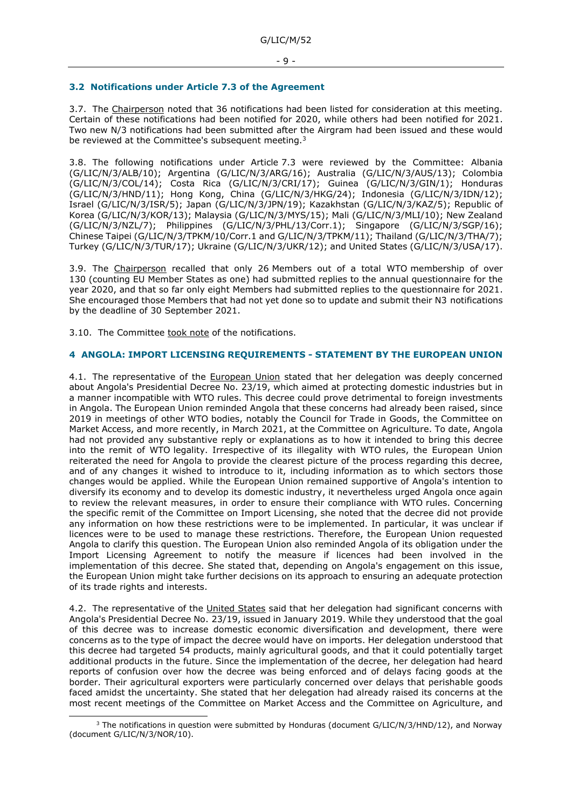#### <span id="page-8-0"></span>**3.2 Notifications under Article 7.3 of the Agreement**

3.7. The Chairperson noted that 36 notifications had been listed for consideration at this meeting. Certain of these notifications had been notified for 2020, while others had been notified for 2021. Two new N/3 notifications had been submitted after the Airgram had been issued and these would be reviewed at the Committee's subsequent meeting.<sup>3</sup>

3.8. The following notifications under Article 7.3 were reviewed by the Committee: Albania (G/LIC/N/3/ALB/10); Argentina (G/LIC/N/3/ARG/16); Australia (G/LIC/N/3/AUS/13); Colombia (G/LIC/N/3/COL/14); Costa Rica (G/LIC/N/3/CRI/17); Guinea (G/LIC/N/3/GIN/1); Honduras (G/LIC/N/3/HND/11); Hong Kong, China (G/LIC/N/3/HKG/24); Indonesia (G/LIC/N/3/IDN/12); Israel (G/LIC/N/3/ISR/5); Japan (G/LIC/N/3/JPN/19); Kazakhstan (G/LIC/N/3/KAZ/5); Republic of Korea (G/LIC/N/3/KOR/13); Malaysia (G/LIC/N/3/MYS/15); Mali (G/LIC/N/3/MLI/10); New Zealand (G/LIC/N/3/NZL/7); Philippines (G/LIC/N/3/PHL/13/Corr.1); Singapore (G/LIC/N/3/SGP/16); Chinese Taipei (G/LIC/N/3/TPKM/10/Corr.1 and G/LIC/N/3/TPKM/11); Thailand (G/LIC/N/3/THA/7); Turkey (G/LIC/N/3/TUR/17); Ukraine (G/LIC/N/3/UKR/12); and United States (G/LIC/N/3/USA/17).

3.9. The Chairperson recalled that only 26 Members out of a total WTO membership of over 130 (counting EU Member States as one) had submitted replies to the annual questionnaire for the year 2020, and that so far only eight Members had submitted replies to the questionnaire for 2021. She encouraged those Members that had not yet done so to update and submit their N3 notifications by the deadline of 30 September 2021.

3.10. The Committee took note of the notifications.

#### <span id="page-8-1"></span>**4 ANGOLA: IMPORT LICENSING REQUIREMENTS - STATEMENT BY THE EUROPEAN UNION**

4.1. The representative of the European Union stated that her delegation was deeply concerned about Angola's Presidential Decree No. 23/19, which aimed at protecting domestic industries but in a manner incompatible with WTO rules. This decree could prove detrimental to foreign investments in Angola. The European Union reminded Angola that these concerns had already been raised, since 2019 in meetings of other WTO bodies, notably the Council for Trade in Goods, the Committee on Market Access, and more recently, in March 2021, at the Committee on Agriculture. To date, Angola had not provided any substantive reply or explanations as to how it intended to bring this decree into the remit of WTO legality. Irrespective of its illegality with WTO rules, the European Union reiterated the need for Angola to provide the clearest picture of the process regarding this decree, and of any changes it wished to introduce to it, including information as to which sectors those changes would be applied. While the European Union remained supportive of Angola's intention to diversify its economy and to develop its domestic industry, it nevertheless urged Angola once again to review the relevant measures, in order to ensure their compliance with WTO rules. Concerning the specific remit of the Committee on Import Licensing, she noted that the decree did not provide any information on how these restrictions were to be implemented. In particular, it was unclear if licences were to be used to manage these restrictions. Therefore, the European Union requested Angola to clarify this question. The European Union also reminded Angola of its obligation under the Import Licensing Agreement to notify the measure if licences had been involved in the implementation of this decree. She stated that, depending on Angola's engagement on this issue, the European Union might take further decisions on its approach to ensuring an adequate protection of its trade rights and interests.

4.2. The representative of the United States said that her delegation had significant concerns with Angola's Presidential Decree No. 23/19, issued in January 2019. While they understood that the goal of this decree was to increase domestic economic diversification and development, there were concerns as to the type of impact the decree would have on imports. Her delegation understood that this decree had targeted 54 products, mainly agricultural goods, and that it could potentially target additional products in the future. Since the implementation of the decree, her delegation had heard reports of confusion over how the decree was being enforced and of delays facing goods at the border. Their agricultural exporters were particularly concerned over delays that perishable goods faced amidst the uncertainty. She stated that her delegation had already raised its concerns at the most recent meetings of the Committee on Market Access and the Committee on Agriculture, and

 $3$  The notifications in question were submitted by Honduras (document G/LIC/N/3/HND/12), and Norway (document G/LIC/N/3/NOR/10).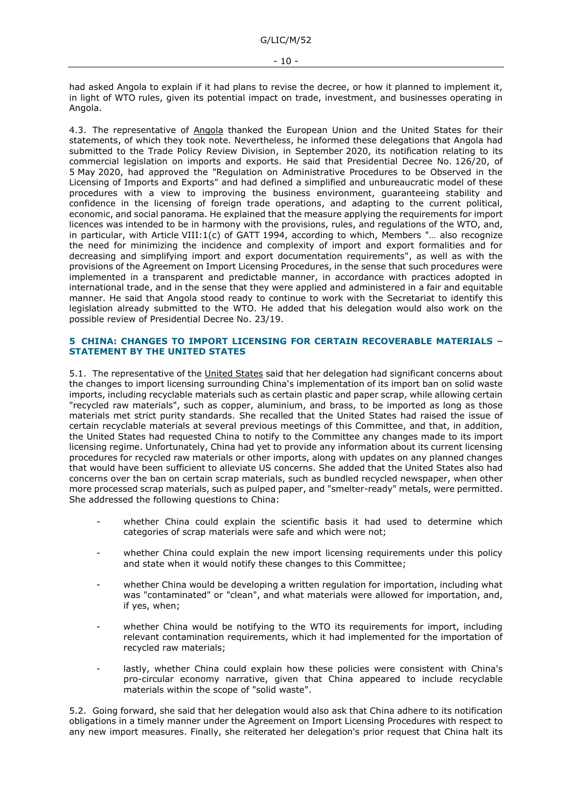had asked Angola to explain if it had plans to revise the decree, or how it planned to implement it, in light of WTO rules, given its potential impact on trade, investment, and businesses operating in Angola.

4.3. The representative of Angola thanked the European Union and the United States for their statements, of which they took note. Nevertheless, he informed these delegations that Angola had submitted to the Trade Policy Review Division, in September 2020, its notification relating to its commercial legislation on imports and exports. He said that Presidential Decree No. 126/20, of 5 May 2020, had approved the "Regulation on Administrative Procedures to be Observed in the Licensing of Imports and Exports" and had defined a simplified and unbureaucratic model of these procedures with a view to improving the business environment, guaranteeing stability and confidence in the licensing of foreign trade operations, and adapting to the current political, economic, and social panorama. He explained that the measure applying the requirements for import licences was intended to be in harmony with the provisions, rules, and regulations of the WTO, and, in particular, with Article VIII:1(c) of GATT 1994, according to which, Members "… also recognize the need for minimizing the incidence and complexity of import and export formalities and for decreasing and simplifying import and export documentation requirements", as well as with the provisions of the Agreement on Import Licensing Procedures, in the sense that such procedures were implemented in a transparent and predictable manner, in accordance with practices adopted in international trade, and in the sense that they were applied and administered in a fair and equitable manner. He said that Angola stood ready to continue to work with the Secretariat to identify this legislation already submitted to the WTO. He added that his delegation would also work on the possible review of Presidential Decree No. 23/19.

## <span id="page-9-0"></span>**5 CHINA: CHANGES TO IMPORT LICENSING FOR CERTAIN RECOVERABLE MATERIALS – STATEMENT BY THE UNITED STATES**

5.1. The representative of the United States said that her delegation had significant concerns about the changes to import licensing surrounding China's implementation of its import ban on solid waste imports, including recyclable materials such as certain plastic and paper scrap, while allowing certain "recycled raw materials", such as copper, aluminium, and brass, to be imported as long as those materials met strict purity standards. She recalled that the United States had raised the issue of certain recyclable materials at several previous meetings of this Committee, and that, in addition, the United States had requested China to notify to the Committee any changes made to its import licensing regime. Unfortunately, China had yet to provide any information about its current licensing procedures for recycled raw materials or other imports, along with updates on any planned changes that would have been sufficient to alleviate US concerns. She added that the United States also had concerns over the ban on certain scrap materials, such as bundled recycled newspaper, when other more processed scrap materials, such as pulped paper, and "smelter-ready" metals, were permitted. She addressed the following questions to China:

- whether China could explain the scientific basis it had used to determine which categories of scrap materials were safe and which were not;
- whether China could explain the new import licensing requirements under this policy and state when it would notify these changes to this Committee;
- whether China would be developing a written regulation for importation, including what was "contaminated" or "clean", and what materials were allowed for importation, and, if yes, when;
- whether China would be notifying to the WTO its requirements for import, including relevant contamination requirements, which it had implemented for the importation of recycled raw materials;
- lastly, whether China could explain how these policies were consistent with China's pro-circular economy narrative, given that China appeared to include recyclable materials within the scope of "solid waste".

5.2. Going forward, she said that her delegation would also ask that China adhere to its notification obligations in a timely manner under the Agreement on Import Licensing Procedures with respect to any new import measures. Finally, she reiterated her delegation's prior request that China halt its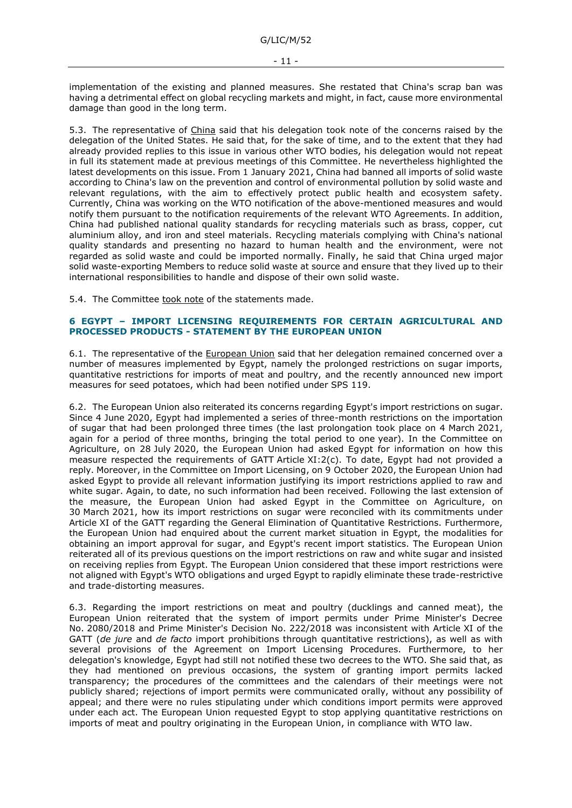implementation of the existing and planned measures. She restated that China's scrap ban was having a detrimental effect on global recycling markets and might, in fact, cause more environmental damage than good in the long term.

5.3. The representative of China said that his delegation took note of the concerns raised by the delegation of the United States. He said that, for the sake of time, and to the extent that they had already provided replies to this issue in various other WTO bodies, his delegation would not repeat in full its statement made at previous meetings of this Committee. He nevertheless highlighted the latest developments on this issue. From 1 January 2021, China had banned all imports of solid waste according to China's law on the prevention and control of environmental pollution by solid waste and relevant regulations, with the aim to effectively protect public health and ecosystem safety. Currently, China was working on the WTO notification of the above-mentioned measures and would notify them pursuant to the notification requirements of the relevant WTO Agreements. In addition, China had published national quality standards for recycling materials such as brass, copper, cut aluminium alloy, and iron and steel materials. Recycling materials complying with China's national quality standards and presenting no hazard to human health and the environment, were not regarded as solid waste and could be imported normally. Finally, he said that China urged major solid waste-exporting Members to reduce solid waste at source and ensure that they lived up to their international responsibilities to handle and dispose of their own solid waste.

5.4. The Committee took note of the statements made.

#### <span id="page-10-0"></span>**6 EGYPT – IMPORT LICENSING REQUIREMENTS FOR CERTAIN AGRICULTURAL AND PROCESSED PRODUCTS - STATEMENT BY THE EUROPEAN UNION**

6.1. The representative of the European Union said that her delegation remained concerned over a number of measures implemented by Egypt, namely the prolonged restrictions on sugar imports, quantitative restrictions for imports of meat and poultry, and the recently announced new import measures for seed potatoes, which had been notified under SPS 119.

6.2. The European Union also reiterated its concerns regarding Egypt's import restrictions on sugar. Since 4 June 2020, Egypt had implemented a series of three-month restrictions on the importation of sugar that had been prolonged three times (the last prolongation took place on 4 March 2021, again for a period of three months, bringing the total period to one year). In the Committee on Agriculture, on 28 July 2020, the European Union had asked Egypt for information on how this measure respected the requirements of GATT Article XI:2(c). To date, Egypt had not provided a reply. Moreover, in the Committee on Import Licensing, on 9 October 2020, the European Union had asked Egypt to provide all relevant information justifying its import restrictions applied to raw and white sugar. Again, to date, no such information had been received. Following the last extension of the measure, the European Union had asked Egypt in the Committee on Agriculture, on 30 March 2021, how its import restrictions on sugar were reconciled with its commitments under Article XI of the GATT regarding the General Elimination of Quantitative Restrictions. Furthermore, the European Union had enquired about the current market situation in Egypt, the modalities for obtaining an import approval for sugar, and Egypt's recent import statistics. The European Union reiterated all of its previous questions on the import restrictions on raw and white sugar and insisted on receiving replies from Egypt. The European Union considered that these import restrictions were not aligned with Egypt's WTO obligations and urged Egypt to rapidly eliminate these trade-restrictive and trade-distorting measures.

6.3. Regarding the import restrictions on meat and poultry (ducklings and canned meat), the European Union reiterated that the system of import permits under Prime Minister's Decree No. 2080/2018 and Prime Minister's Decision No. 222/2018 was inconsistent with Article XI of the GATT (*de jure* and *de facto* import prohibitions through quantitative restrictions), as well as with several provisions of the Agreement on Import Licensing Procedures. Furthermore, to her delegation's knowledge, Egypt had still not notified these two decrees to the WTO. She said that, as they had mentioned on previous occasions, the system of granting import permits lacked transparency; the procedures of the committees and the calendars of their meetings were not publicly shared; rejections of import permits were communicated orally, without any possibility of appeal; and there were no rules stipulating under which conditions import permits were approved under each act. The European Union requested Egypt to stop applying quantitative restrictions on imports of meat and poultry originating in the European Union, in compliance with WTO law.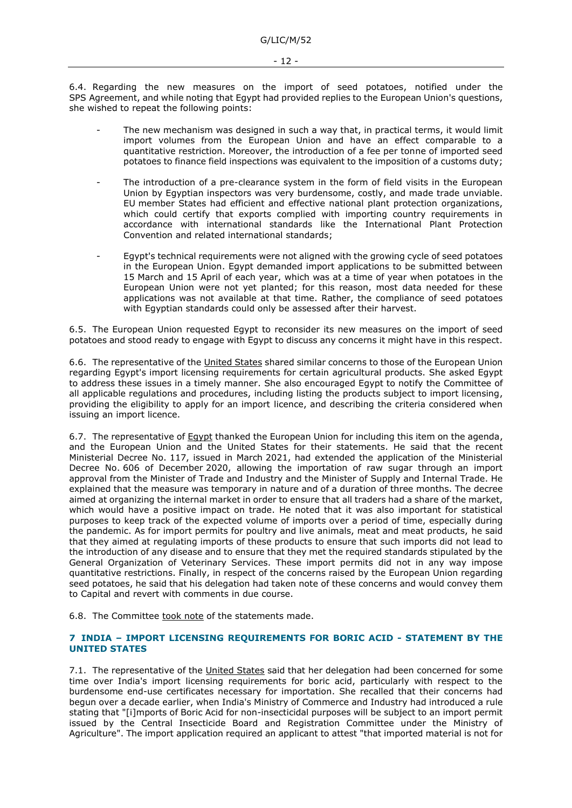6.4. Regarding the new measures on the import of seed potatoes, notified under the SPS Agreement, and while noting that Egypt had provided replies to the European Union's questions, she wished to repeat the following points:

- The new mechanism was designed in such a way that, in practical terms, it would limit import volumes from the European Union and have an effect comparable to a quantitative restriction. Moreover, the introduction of a fee per tonne of imported seed potatoes to finance field inspections was equivalent to the imposition of a customs duty;
- The introduction of a pre-clearance system in the form of field visits in the European Union by Egyptian inspectors was very burdensome, costly, and made trade unviable. EU member States had efficient and effective national plant protection organizations, which could certify that exports complied with importing country requirements in accordance with international standards like the International Plant Protection Convention and related international standards;
- Egypt's technical requirements were not aligned with the growing cycle of seed potatoes in the European Union. Egypt demanded import applications to be submitted between 15 March and 15 April of each year, which was at a time of year when potatoes in the European Union were not yet planted; for this reason, most data needed for these applications was not available at that time. Rather, the compliance of seed potatoes with Egyptian standards could only be assessed after their harvest.

6.5. The European Union requested Egypt to reconsider its new measures on the import of seed potatoes and stood ready to engage with Egypt to discuss any concerns it might have in this respect.

6.6. The representative of the United States shared similar concerns to those of the European Union regarding Egypt's import licensing requirements for certain agricultural products. She asked Egypt to address these issues in a timely manner. She also encouraged Egypt to notify the Committee of all applicable regulations and procedures, including listing the products subject to import licensing, providing the eligibility to apply for an import licence, and describing the criteria considered when issuing an import licence.

6.7. The representative of Egypt thanked the European Union for including this item on the agenda, and the European Union and the United States for their statements. He said that the recent Ministerial Decree No. 117, issued in March 2021, had extended the application of the Ministerial Decree No. 606 of December 2020, allowing the importation of raw sugar through an import approval from the Minister of Trade and Industry and the Minister of Supply and Internal Trade. He explained that the measure was temporary in nature and of a duration of three months. The decree aimed at organizing the internal market in order to ensure that all traders had a share of the market, which would have a positive impact on trade. He noted that it was also important for statistical purposes to keep track of the expected volume of imports over a period of time, especially during the pandemic. As for import permits for poultry and live animals, meat and meat products, he said that they aimed at regulating imports of these products to ensure that such imports did not lead to the introduction of any disease and to ensure that they met the required standards stipulated by the General Organization of Veterinary Services. These import permits did not in any way impose quantitative restrictions. Finally, in respect of the concerns raised by the European Union regarding seed potatoes, he said that his delegation had taken note of these concerns and would convey them to Capital and revert with comments in due course.

6.8. The Committee took note of the statements made.

## <span id="page-11-0"></span>**7 INDIA – IMPORT LICENSING REQUIREMENTS FOR BORIC ACID - STATEMENT BY THE UNITED STATES**

7.1. The representative of the United States said that her delegation had been concerned for some time over India's import licensing requirements for boric acid, particularly with respect to the burdensome end-use certificates necessary for importation. She recalled that their concerns had begun over a decade earlier, when India's Ministry of Commerce and Industry had introduced a rule stating that "[i]mports of Boric Acid for non-insecticidal purposes will be subject to an import permit issued by the Central Insecticide Board and Registration Committee under the Ministry of Agriculture". The import application required an applicant to attest "that imported material is not for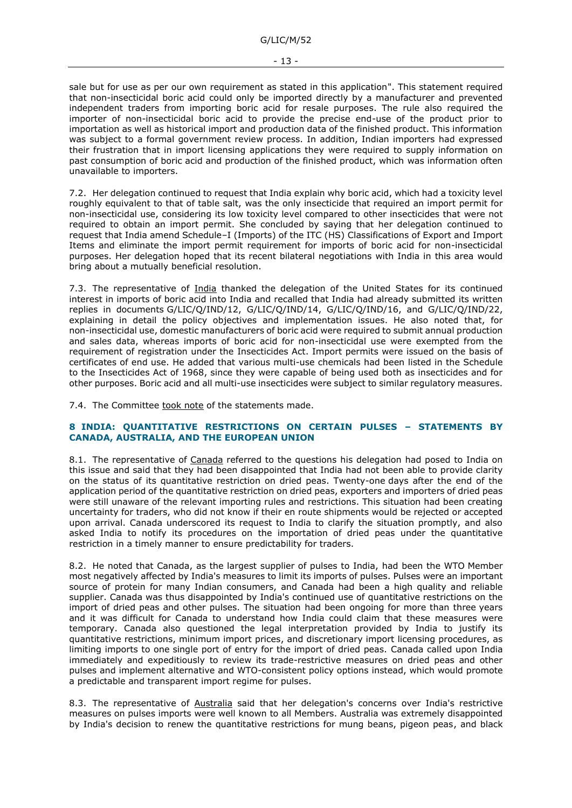sale but for use as per our own requirement as stated in this application". This statement required that non-insecticidal boric acid could only be imported directly by a manufacturer and prevented independent traders from importing boric acid for resale purposes. The rule also required the importer of non-insecticidal boric acid to provide the precise end-use of the product prior to importation as well as historical import and production data of the finished product. This information was subject to a formal government review process. In addition, Indian importers had expressed their frustration that in import licensing applications they were required to supply information on past consumption of boric acid and production of the finished product, which was information often unavailable to importers.

7.2. Her delegation continued to request that India explain why boric acid, which had a toxicity level roughly equivalent to that of table salt, was the only insecticide that required an import permit for non-insecticidal use, considering its low toxicity level compared to other insecticides that were not required to obtain an import permit. She concluded by saying that her delegation continued to request that India amend Schedule–I (Imports) of the ITC (HS) Classifications of Export and Import Items and eliminate the import permit requirement for imports of boric acid for non-insecticidal purposes. Her delegation hoped that its recent bilateral negotiations with India in this area would bring about a mutually beneficial resolution.

7.3. The representative of India thanked the delegation of the United States for its continued interest in imports of boric acid into India and recalled that India had already submitted its written replies in documents G/LIC/Q/IND/12, G/LIC/Q/IND/14, G/LIC/Q/IND/16, and G/LIC/Q/IND/22, explaining in detail the policy objectives and implementation issues. He also noted that, for non-insecticidal use, domestic manufacturers of boric acid were required to submit annual production and sales data, whereas imports of boric acid for non-insecticidal use were exempted from the requirement of registration under the Insecticides Act. Import permits were issued on the basis of certificates of end use. He added that various multi-use chemicals had been listed in the Schedule to the Insecticides Act of 1968, since they were capable of being used both as insecticides and for other purposes. Boric acid and all multi-use insecticides were subject to similar regulatory measures.

7.4. The Committee took note of the statements made.

## <span id="page-12-0"></span>**8 INDIA: QUANTITATIVE RESTRICTIONS ON CERTAIN PULSES – STATEMENTS BY CANADA, AUSTRALIA, AND THE EUROPEAN UNION**

8.1. The representative of Canada referred to the questions his delegation had posed to India on this issue and said that they had been disappointed that India had not been able to provide clarity on the status of its quantitative restriction on dried peas. Twenty-one days after the end of the application period of the quantitative restriction on dried peas, exporters and importers of dried peas were still unaware of the relevant importing rules and restrictions. This situation had been creating uncertainty for traders, who did not know if their en route shipments would be rejected or accepted upon arrival. Canada underscored its request to India to clarify the situation promptly, and also asked India to notify its procedures on the importation of dried peas under the quantitative restriction in a timely manner to ensure predictability for traders.

8.2. He noted that Canada, as the largest supplier of pulses to India, had been the WTO Member most negatively affected by India's measures to limit its imports of pulses. Pulses were an important source of protein for many Indian consumers, and Canada had been a high quality and reliable supplier. Canada was thus disappointed by India's continued use of quantitative restrictions on the import of dried peas and other pulses. The situation had been ongoing for more than three years and it was difficult for Canada to understand how India could claim that these measures were temporary. Canada also questioned the legal interpretation provided by India to justify its quantitative restrictions, minimum import prices, and discretionary import licensing procedures, as limiting imports to one single port of entry for the import of dried peas. Canada called upon India immediately and expeditiously to review its trade-restrictive measures on dried peas and other pulses and implement alternative and WTO-consistent policy options instead, which would promote a predictable and transparent import regime for pulses.

8.3. The representative of Australia said that her delegation's concerns over India's restrictive measures on pulses imports were well known to all Members. Australia was extremely disappointed by India's decision to renew the quantitative restrictions for mung beans, pigeon peas, and black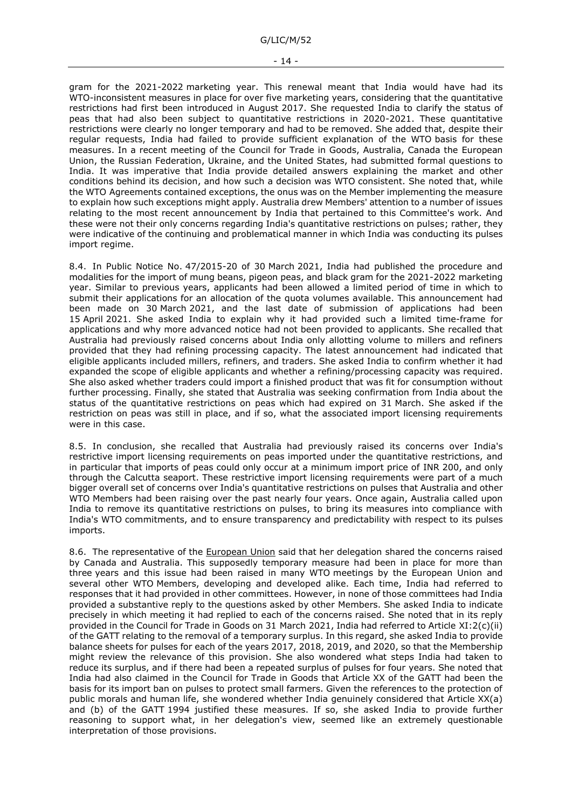G/LIC/M/52

gram for the 2021-2022 marketing year. This renewal meant that India would have had its WTO-inconsistent measures in place for over five marketing years, considering that the quantitative restrictions had first been introduced in August 2017. She requested India to clarify the status of peas that had also been subject to quantitative restrictions in 2020-2021. These quantitative restrictions were clearly no longer temporary and had to be removed. She added that, despite their regular requests, India had failed to provide sufficient explanation of the WTO basis for these measures. In a recent meeting of the Council for Trade in Goods, Australia, Canada the European Union, the Russian Federation, Ukraine, and the United States, had submitted formal questions to India. It was imperative that India provide detailed answers explaining the market and other conditions behind its decision, and how such a decision was WTO consistent. She noted that, while the WTO Agreements contained exceptions, the onus was on the Member implementing the measure to explain how such exceptions might apply. Australia drew Members' attention to a number of issues relating to the most recent announcement by India that pertained to this Committee's work. And these were not their only concerns regarding India's quantitative restrictions on pulses; rather, they were indicative of the continuing and problematical manner in which India was conducting its pulses import regime.

8.4. In Public Notice No. 47/2015-20 of 30 March 2021, India had published the procedure and modalities for the import of mung beans, pigeon peas, and black gram for the 2021-2022 marketing year. Similar to previous years, applicants had been allowed a limited period of time in which to submit their applications for an allocation of the quota volumes available. This announcement had been made on 30 March 2021, and the last date of submission of applications had been 15 April 2021. She asked India to explain why it had provided such a limited time-frame for applications and why more advanced notice had not been provided to applicants. She recalled that Australia had previously raised concerns about India only allotting volume to millers and refiners provided that they had refining processing capacity. The latest announcement had indicated that eligible applicants included millers, refiners, and traders. She asked India to confirm whether it had expanded the scope of eligible applicants and whether a refining/processing capacity was required. She also asked whether traders could import a finished product that was fit for consumption without further processing. Finally, she stated that Australia was seeking confirmation from India about the status of the quantitative restrictions on peas which had expired on 31 March. She asked if the restriction on peas was still in place, and if so, what the associated import licensing requirements were in this case.

8.5. In conclusion, she recalled that Australia had previously raised its concerns over India's restrictive import licensing requirements on peas imported under the quantitative restrictions, and in particular that imports of peas could only occur at a minimum import price of INR 200, and only through the Calcutta seaport. These restrictive import licensing requirements were part of a much bigger overall set of concerns over India's quantitative restrictions on pulses that Australia and other WTO Members had been raising over the past nearly four years. Once again, Australia called upon India to remove its quantitative restrictions on pulses, to bring its measures into compliance with India's WTO commitments, and to ensure transparency and predictability with respect to its pulses imports.

8.6. The representative of the European Union said that her delegation shared the concerns raised by Canada and Australia. This supposedly temporary measure had been in place for more than three years and this issue had been raised in many WTO meetings by the European Union and several other WTO Members, developing and developed alike. Each time, India had referred to responses that it had provided in other committees. However, in none of those committees had India provided a substantive reply to the questions asked by other Members. She asked India to indicate precisely in which meeting it had replied to each of the concerns raised. She noted that in its reply provided in the Council for Trade in Goods on 31 March 2021, India had referred to Article XI:2(c)(ii) of the GATT relating to the removal of a temporary surplus. In this regard, she asked India to provide balance sheets for pulses for each of the years 2017, 2018, 2019, and 2020, so that the Membership might review the relevance of this provision. She also wondered what steps India had taken to reduce its surplus, and if there had been a repeated surplus of pulses for four years. She noted that India had also claimed in the Council for Trade in Goods that Article XX of the GATT had been the basis for its import ban on pulses to protect small farmers. Given the references to the protection of public morals and human life, she wondered whether India genuinely considered that Article XX(a) and (b) of the GATT 1994 justified these measures. If so, she asked India to provide further reasoning to support what, in her delegation's view, seemed like an extremely questionable interpretation of those provisions.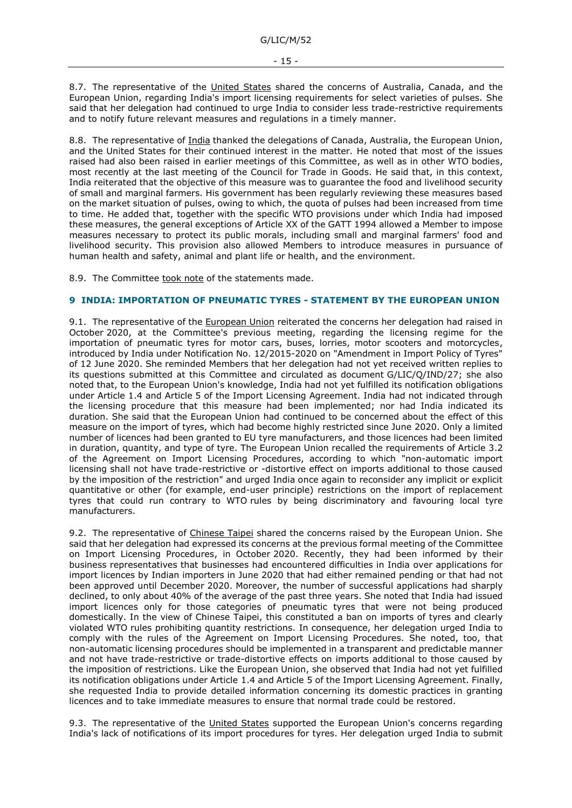8.7. The representative of the United States shared the concerns of Australia, Canada, and the European Union, regarding India's import licensing requirements for select varieties of pulses. She said that her delegation had continued to urge India to consider less trade-restrictive requirements and to notify future relevant measures and regulations in a timely manner.

8.8. The representative of India thanked the delegations of Canada, Australia, the European Union, and the United States for their continued interest in the matter. He noted that most of the issues raised had also been raised in earlier meetings of this Committee, as well as in other WTO bodies, most recently at the last meeting of the Council for Trade in Goods. He said that, in this context, India reiterated that the objective of this measure was to guarantee the food and livelihood security of small and marginal farmers. His government has been regularly reviewing these measures based on the market situation of pulses, owing to which, the quota of pulses had been increased from time to time. He added that, together with the specific WTO provisions under which India had imposed these measures, the general exceptions of Article XX of the GATT 1994 allowed a Member to impose measures necessary to protect its public morals, including small and marginal farmers' food and livelihood security. This provision also allowed Members to introduce measures in pursuance of human health and safety, animal and plant life or health, and the environment.

8.9. The Committee took note of the statements made.

# <span id="page-14-0"></span>**9 INDIA: IMPORTATION OF PNEUMATIC TYRES - STATEMENT BY THE EUROPEAN UNION**

9.1. The representative of the European Union reiterated the concerns her delegation had raised in October 2020, at the Committee's previous meeting, regarding the licensing regime for the importation of pneumatic tyres for motor cars, buses, lorries, motor scooters and motorcycles, introduced by India under Notification No. 12/2015-2020 on "Amendment in Import Policy of Tyres" of 12 June 2020. She reminded Members that her delegation had not yet received written replies to its questions submitted at this Committee and circulated as document G/LIC/Q/IND/27; she also noted that, to the European Union's knowledge, India had not yet fulfilled its notification obligations under Article 1.4 and Article 5 of the Import Licensing Agreement. India had not indicated through the licensing procedure that this measure had been implemented; nor had India indicated its duration. She said that the European Union had continued to be concerned about the effect of this measure on the import of tyres, which had become highly restricted since June 2020. Only a limited number of licences had been granted to EU tyre manufacturers, and those licences had been limited in duration, quantity, and type of tyre. The European Union recalled the requirements of Article 3.2 of the Agreement on Import Licensing Procedures, according to which "non-automatic import licensing shall not have trade-restrictive or -distortive effect on imports additional to those caused by the imposition of the restriction" and urged India once again to reconsider any implicit or explicit quantitative or other (for example, end-user principle) restrictions on the import of replacement tyres that could run contrary to WTO rules by being discriminatory and favouring local tyre manufacturers.

9.2. The representative of Chinese Taipei shared the concerns raised by the European Union. She said that her delegation had expressed its concerns at the previous formal meeting of the Committee on Import Licensing Procedures, in October 2020. Recently, they had been informed by their business representatives that businesses had encountered difficulties in India over applications for import licences by Indian importers in June 2020 that had either remained pending or that had not been approved until December 2020. Moreover, the number of successful applications had sharply declined, to only about 40% of the average of the past three years. She noted that India had issued import licences only for those categories of pneumatic tyres that were not being produced domestically. In the view of Chinese Taipei, this constituted a ban on imports of tyres and clearly violated WTO rules prohibiting quantity restrictions. In consequence, her delegation urged India to comply with the rules of the Agreement on Import Licensing Procedures. She noted, too, that non-automatic licensing procedures should be implemented in a transparent and predictable manner and not have trade-restrictive or trade-distortive effects on imports additional to those caused by the imposition of restrictions. Like the European Union, she observed that India had not yet fulfilled its notification obligations under Article 1.4 and Article 5 of the Import Licensing Agreement. Finally, she requested India to provide detailed information concerning its domestic practices in granting licences and to take immediate measures to ensure that normal trade could be restored.

9.3. The representative of the United States supported the European Union's concerns regarding India's lack of notifications of its import procedures for tyres. Her delegation urged India to submit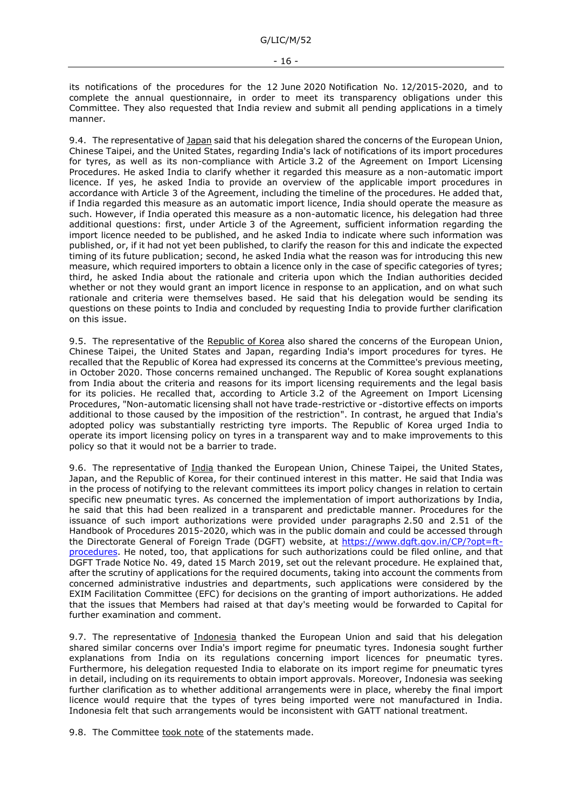its notifications of the procedures for the 12 June 2020 Notification No. 12/2015-2020, and to complete the annual questionnaire, in order to meet its transparency obligations under this Committee. They also requested that India review and submit all pending applications in a timely manner.

9.4. The representative of Japan said that his delegation shared the concerns of the European Union, Chinese Taipei, and the United States, regarding India's lack of notifications of its import procedures for tyres, as well as its non-compliance with Article 3.2 of the Agreement on Import Licensing Procedures. He asked India to clarify whether it regarded this measure as a non-automatic import licence. If yes, he asked India to provide an overview of the applicable import procedures in accordance with Article 3 of the Agreement, including the timeline of the procedures. He added that, if India regarded this measure as an automatic import licence, India should operate the measure as such. However, if India operated this measure as a non-automatic licence, his delegation had three additional questions: first, under Article 3 of the Agreement, sufficient information regarding the import licence needed to be published, and he asked India to indicate where such information was published, or, if it had not yet been published, to clarify the reason for this and indicate the expected timing of its future publication; second, he asked India what the reason was for introducing this new measure, which required importers to obtain a licence only in the case of specific categories of tyres; third, he asked India about the rationale and criteria upon which the Indian authorities decided whether or not they would grant an import licence in response to an application, and on what such rationale and criteria were themselves based. He said that his delegation would be sending its questions on these points to India and concluded by requesting India to provide further clarification on this issue.

9.5. The representative of the Republic of Korea also shared the concerns of the European Union, Chinese Taipei, the United States and Japan, regarding India's import procedures for tyres. He recalled that the Republic of Korea had expressed its concerns at the Committee's previous meeting, in October 2020. Those concerns remained unchanged. The Republic of Korea sought explanations from India about the criteria and reasons for its import licensing requirements and the legal basis for its policies. He recalled that, according to Article 3.2 of the Agreement on Import Licensing Procedures, "Non-automatic licensing shall not have trade-restrictive or -distortive effects on imports additional to those caused by the imposition of the restriction". In contrast, he argued that India's adopted policy was substantially restricting tyre imports. The Republic of Korea urged India to operate its import licensing policy on tyres in a transparent way and to make improvements to this policy so that it would not be a barrier to trade.

9.6. The representative of India thanked the European Union, Chinese Taipei, the United States, Japan, and the Republic of Korea, for their continued interest in this matter. He said that India was in the process of notifying to the relevant committees its import policy changes in relation to certain specific new pneumatic tyres. As concerned the implementation of import authorizations by India, he said that this had been realized in a transparent and predictable manner. Procedures for the issuance of such import authorizations were provided under paragraphs 2.50 and 2.51 of the Handbook of Procedures 2015-2020, which was in the public domain and could be accessed through the Directorate General of Foreign Trade (DGFT) website, at [https://www.dgft.gov.in/CP/?opt=ft](https://www.dgft.gov.in/CP/?opt=ft-procedures)[procedures.](https://www.dgft.gov.in/CP/?opt=ft-procedures) He noted, too, that applications for such authorizations could be filed online, and that DGFT Trade Notice No. 49, dated 15 March 2019, set out the relevant procedure. He explained that, after the scrutiny of applications for the required documents, taking into account the comments from concerned administrative industries and departments, such applications were considered by the EXIM Facilitation Committee (EFC) for decisions on the granting of import authorizations. He added that the issues that Members had raised at that day's meeting would be forwarded to Capital for further examination and comment.

9.7. The representative of Indonesia thanked the European Union and said that his delegation shared similar concerns over India's import regime for pneumatic tyres. Indonesia sought further explanations from India on its regulations concerning import licences for pneumatic tyres. Furthermore, his delegation requested India to elaborate on its import regime for pneumatic tyres in detail, including on its requirements to obtain import approvals. Moreover, Indonesia was seeking further clarification as to whether additional arrangements were in place, whereby the final import licence would require that the types of tyres being imported were not manufactured in India. Indonesia felt that such arrangements would be inconsistent with GATT national treatment.

9.8. The Committee took note of the statements made.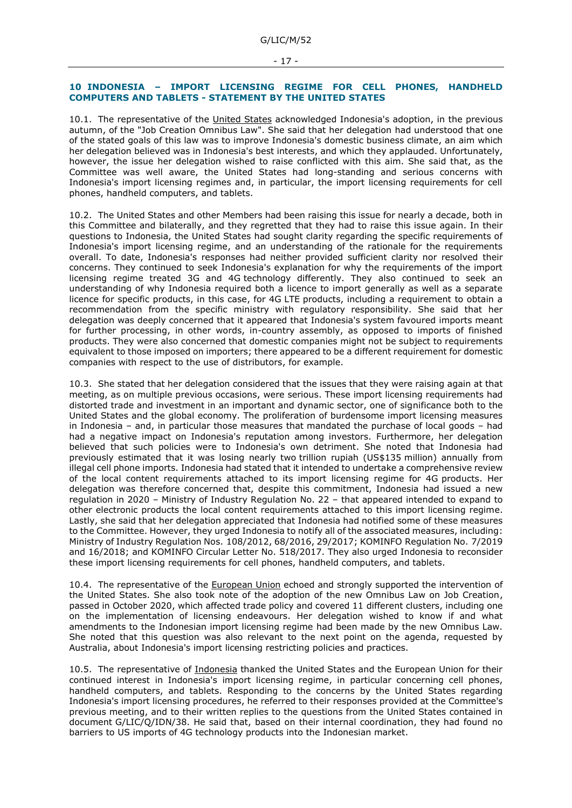#### <span id="page-16-0"></span>**10 INDONESIA – IMPORT LICENSING REGIME FOR CELL PHONES, HANDHELD COMPUTERS AND TABLETS - STATEMENT BY THE UNITED STATES**

10.1. The representative of the United States acknowledged Indonesia's adoption, in the previous autumn, of the "Job Creation Omnibus Law". She said that her delegation had understood that one of the stated goals of this law was to improve Indonesia's domestic business climate, an aim which her delegation believed was in Indonesia's best interests, and which they applauded. Unfortunately, however, the issue her delegation wished to raise conflicted with this aim. She said that, as the Committee was well aware, the United States had long-standing and serious concerns with Indonesia's import licensing regimes and, in particular, the import licensing requirements for cell phones, handheld computers, and tablets.

10.2. The United States and other Members had been raising this issue for nearly a decade, both in this Committee and bilaterally, and they regretted that they had to raise this issue again. In their questions to Indonesia, the United States had sought clarity regarding the specific requirements of Indonesia's import licensing regime, and an understanding of the rationale for the requirements overall. To date, Indonesia's responses had neither provided sufficient clarity nor resolved their concerns. They continued to seek Indonesia's explanation for why the requirements of the import licensing regime treated 3G and 4G technology differently. They also continued to seek an understanding of why Indonesia required both a licence to import generally as well as a separate licence for specific products, in this case, for 4G LTE products, including a requirement to obtain a recommendation from the specific ministry with regulatory responsibility. She said that her delegation was deeply concerned that it appeared that Indonesia's system favoured imports meant for further processing, in other words, in-country assembly, as opposed to imports of finished products. They were also concerned that domestic companies might not be subject to requirements equivalent to those imposed on importers; there appeared to be a different requirement for domestic companies with respect to the use of distributors, for example.

10.3. She stated that her delegation considered that the issues that they were raising again at that meeting, as on multiple previous occasions, were serious. These import licensing requirements had distorted trade and investment in an important and dynamic sector, one of significance both to the United States and the global economy. The proliferation of burdensome import licensing measures in Indonesia – and, in particular those measures that mandated the purchase of local goods – had had a negative impact on Indonesia's reputation among investors. Furthermore, her delegation believed that such policies were to Indonesia's own detriment. She noted that Indonesia had previously estimated that it was losing nearly two trillion rupiah (US\$135 million) annually from illegal cell phone imports. Indonesia had stated that it intended to undertake a comprehensive review of the local content requirements attached to its import licensing regime for 4G products. Her delegation was therefore concerned that, despite this commitment, Indonesia had issued a new regulation in 2020 – Ministry of Industry Regulation No. 22 – that appeared intended to expand to other electronic products the local content requirements attached to this import licensing regime. Lastly, she said that her delegation appreciated that Indonesia had notified some of these measures to the Committee. However, they urged Indonesia to notify all of the associated measures, including: Ministry of Industry Regulation Nos. 108/2012, 68/2016, 29/2017; KOMINFO Regulation No. 7/2019 and 16/2018; and KOMINFO Circular Letter No. 518/2017. They also urged Indonesia to reconsider these import licensing requirements for cell phones, handheld computers, and tablets.

10.4. The representative of the European Union echoed and strongly supported the intervention of the United States. She also took note of the adoption of the new Omnibus Law on Job Creation, passed in October 2020, which affected trade policy and covered 11 different clusters, including one on the implementation of licensing endeavours. Her delegation wished to know if and what amendments to the Indonesian import licensing regime had been made by the new Omnibus Law. She noted that this question was also relevant to the next point on the agenda, requested by Australia, about Indonesia's import licensing restricting policies and practices.

10.5. The representative of Indonesia thanked the United States and the European Union for their continued interest in Indonesia's import licensing regime, in particular concerning cell phones, handheld computers, and tablets. Responding to the concerns by the United States regarding Indonesia's import licensing procedures, he referred to their responses provided at the Committee's previous meeting, and to their written replies to the questions from the United States contained in document G/LIC/Q/IDN/38. He said that, based on their internal coordination, they had found no barriers to US imports of 4G technology products into the Indonesian market.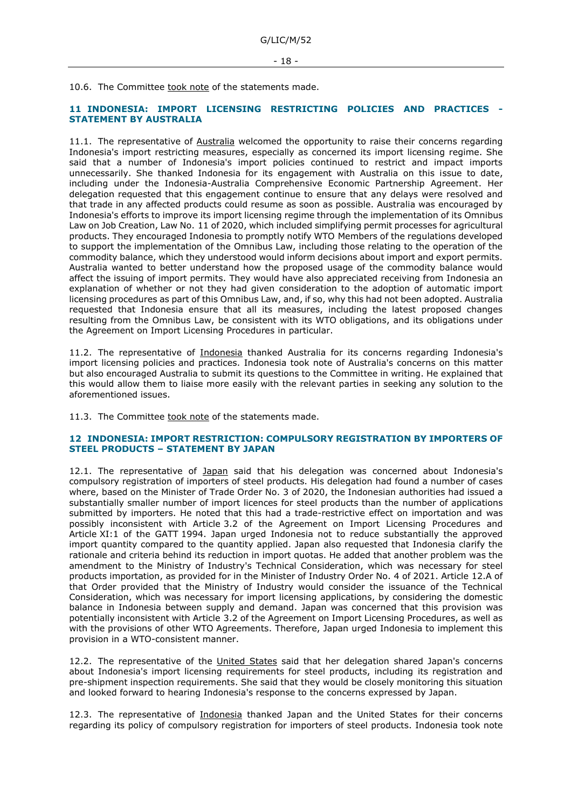10.6. The Committee took note of the statements made.

## <span id="page-17-0"></span>**11 INDONESIA: IMPORT LICENSING RESTRICTING POLICIES AND PRACTICES - STATEMENT BY AUSTRALIA**

11.1. The representative of Australia welcomed the opportunity to raise their concerns regarding Indonesia's import restricting measures, especially as concerned its import licensing regime. She said that a number of Indonesia's import policies continued to restrict and impact imports unnecessarily. She thanked Indonesia for its engagement with Australia on this issue to date, including under the Indonesia-Australia Comprehensive Economic Partnership Agreement. Her delegation requested that this engagement continue to ensure that any delays were resolved and that trade in any affected products could resume as soon as possible. Australia was encouraged by Indonesia's efforts to improve its import licensing regime through the implementation of its Omnibus Law on Job Creation, Law No. 11 of 2020, which included simplifying permit processes for agricultural products. They encouraged Indonesia to promptly notify WTO Members of the regulations developed to support the implementation of the Omnibus Law, including those relating to the operation of the commodity balance, which they understood would inform decisions about import and export permits. Australia wanted to better understand how the proposed usage of the commodity balance would affect the issuing of import permits. They would have also appreciated receiving from Indonesia an explanation of whether or not they had given consideration to the adoption of automatic import licensing procedures as part of this Omnibus Law, and, if so, why this had not been adopted. Australia requested that Indonesia ensure that all its measures, including the latest proposed changes resulting from the Omnibus Law, be consistent with its WTO obligations, and its obligations under the Agreement on Import Licensing Procedures in particular.

11.2. The representative of Indonesia thanked Australia for its concerns regarding Indonesia's import licensing policies and practices. Indonesia took note of Australia's concerns on this matter but also encouraged Australia to submit its questions to the Committee in writing. He explained that this would allow them to liaise more easily with the relevant parties in seeking any solution to the aforementioned issues.

11.3. The Committee took note of the statements made.

#### <span id="page-17-1"></span>**12 INDONESIA: IMPORT RESTRICTION: COMPULSORY REGISTRATION BY IMPORTERS OF STEEL PRODUCTS – STATEMENT BY JAPAN**

12.1. The representative of Japan said that his delegation was concerned about Indonesia's compulsory registration of importers of steel products. His delegation had found a number of cases where, based on the Minister of Trade Order No. 3 of 2020, the Indonesian authorities had issued a substantially smaller number of import licences for steel products than the number of applications submitted by importers. He noted that this had a trade-restrictive effect on importation and was possibly inconsistent with Article 3.2 of the Agreement on Import Licensing Procedures and Article XI:1 of the GATT 1994. Japan urged Indonesia not to reduce substantially the approved import quantity compared to the quantity applied. Japan also requested that Indonesia clarify the rationale and criteria behind its reduction in import quotas. He added that another problem was the amendment to the Ministry of Industry's Technical Consideration, which was necessary for steel products importation, as provided for in the Minister of Industry Order No. 4 of 2021. Article 12.A of that Order provided that the Ministry of Industry would consider the issuance of the Technical Consideration, which was necessary for import licensing applications, by considering the domestic balance in Indonesia between supply and demand. Japan was concerned that this provision was potentially inconsistent with Article 3.2 of the Agreement on Import Licensing Procedures, as well as with the provisions of other WTO Agreements. Therefore, Japan urged Indonesia to implement this provision in a WTO-consistent manner.

12.2. The representative of the United States said that her delegation shared Japan's concerns about Indonesia's import licensing requirements for steel products, including its registration and pre-shipment inspection requirements. She said that they would be closely monitoring this situation and looked forward to hearing Indonesia's response to the concerns expressed by Japan.

12.3. The representative of Indonesia thanked Japan and the United States for their concerns regarding its policy of compulsory registration for importers of steel products. Indonesia took note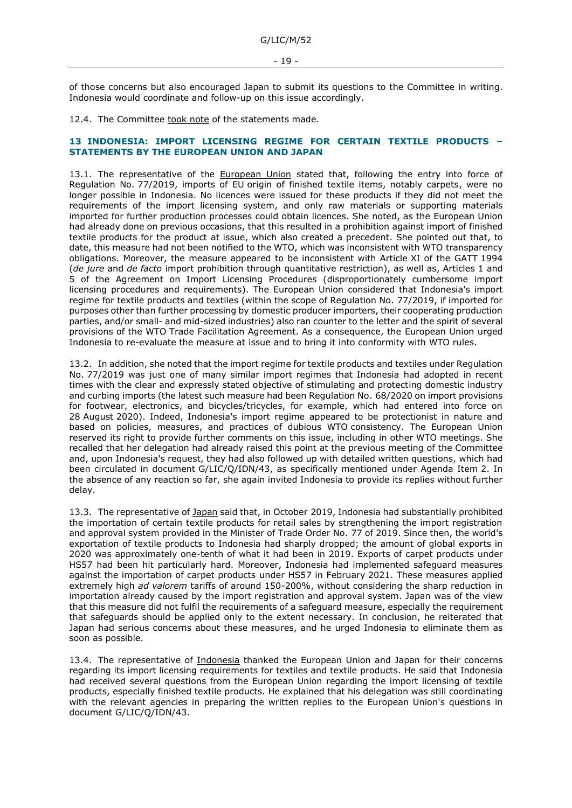of those concerns but also encouraged Japan to submit its questions to the Committee in writing. Indonesia would coordinate and follow-up on this issue accordingly.

12.4. The Committee took note of the statements made.

#### <span id="page-18-0"></span>**13 INDONESIA: IMPORT LICENSING REGIME FOR CERTAIN TEXTILE PRODUCTS – STATEMENTS BY THE EUROPEAN UNION AND JAPAN**

13.1. The representative of the European Union stated that, following the entry into force of Regulation No. 77/2019, imports of EU origin of finished textile items, notably carpets, were no longer possible in Indonesia. No licences were issued for these products if they did not meet the requirements of the import licensing system, and only raw materials or supporting materials imported for further production processes could obtain licences. She noted, as the European Union had already done on previous occasions, that this resulted in a prohibition against import of finished textile products for the product at issue, which also created a precedent. She pointed out that, to date, this measure had not been notified to the WTO, which was inconsistent with WTO transparency obligations. Moreover, the measure appeared to be inconsistent with Article XI of the GATT 1994 (*de jure* and *de facto* import prohibition through quantitative restriction), as well as, Articles 1 and 5 of the Agreement on Import Licensing Procedures (disproportionately cumbersome import licensing procedures and requirements). The European Union considered that Indonesia's import regime for textile products and textiles (within the scope of Regulation No. 77/2019, if imported for purposes other than further processing by domestic producer importers, their cooperating production parties, and/or small- and mid-sized industries) also ran counter to the letter and the spirit of several provisions of the WTO Trade Facilitation Agreement. As a consequence, the European Union urged Indonesia to re-evaluate the measure at issue and to bring it into conformity with WTO rules.

13.2. In addition, she noted that the import regime for textile products and textiles under Regulation No. 77/2019 was just one of many similar import regimes that Indonesia had adopted in recent times with the clear and expressly stated objective of stimulating and protecting domestic industry and curbing imports (the latest such measure had been Regulation No. 68/2020 on import provisions for footwear, electronics, and bicycles/tricycles, for example, which had entered into force on 28 August 2020). Indeed, Indonesia's import regime appeared to be protectionist in nature and based on policies, measures, and practices of dubious WTO consistency. The European Union reserved its right to provide further comments on this issue, including in other WTO meetings. She recalled that her delegation had already raised this point at the previous meeting of the Committee and, upon Indonesia's request, they had also followed up with detailed written questions, which had been circulated in document G/LIC/Q/IDN/43, as specifically mentioned under Agenda Item 2. In the absence of any reaction so far, she again invited Indonesia to provide its replies without further delay.

13.3. The representative of Japan said that, in October 2019, Indonesia had substantially prohibited the importation of certain textile products for retail sales by strengthening the import registration and approval system provided in the Minister of Trade Order No. 77 of 2019. Since then, the world's exportation of textile products to Indonesia had sharply dropped; the amount of global exports in 2020 was approximately one-tenth of what it had been in 2019. Exports of carpet products under HS57 had been hit particularly hard. Moreover, Indonesia had implemented safeguard measures against the importation of carpet products under HS57 in February 2021. These measures applied extremely high *ad valorem* tariffs of around 150-200%, without considering the sharp reduction in importation already caused by the import registration and approval system. Japan was of the view that this measure did not fulfil the requirements of a safeguard measure, especially the requirement that safeguards should be applied only to the extent necessary. In conclusion, he reiterated that Japan had serious concerns about these measures, and he urged Indonesia to eliminate them as soon as possible.

13.4. The representative of Indonesia thanked the European Union and Japan for their concerns regarding its import licensing requirements for textiles and textile products. He said that Indonesia had received several questions from the European Union regarding the import licensing of textile products, especially finished textile products. He explained that his delegation was still coordinating with the relevant agencies in preparing the written replies to the European Union's questions in document G/LIC/Q/IDN/43.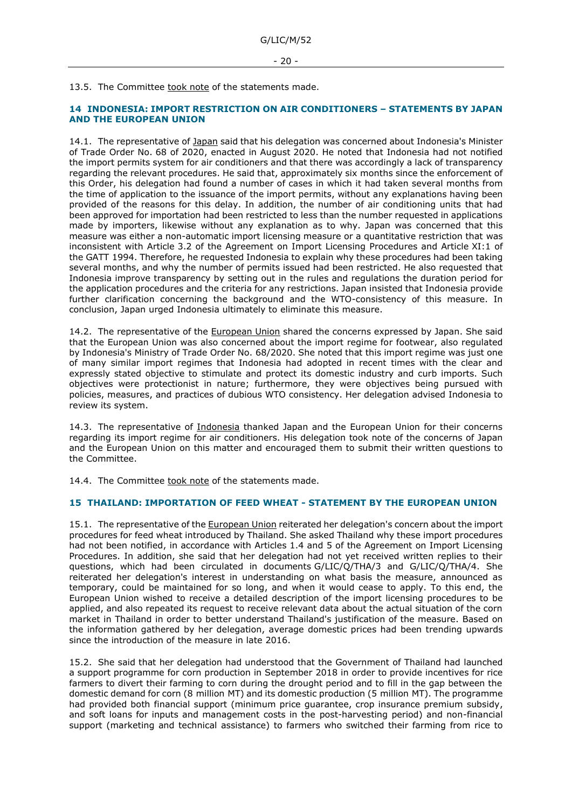#### 13.5. The Committee took note of the statements made.

#### <span id="page-19-0"></span>**14 INDONESIA: IMPORT RESTRICTION ON AIR CONDITIONERS – STATEMENTS BY JAPAN AND THE EUROPEAN UNION**

14.1. The representative of Japan said that his delegation was concerned about Indonesia's Minister of Trade Order No. 68 of 2020, enacted in August 2020. He noted that Indonesia had not notified the import permits system for air conditioners and that there was accordingly a lack of transparency regarding the relevant procedures. He said that, approximately six months since the enforcement of this Order, his delegation had found a number of cases in which it had taken several months from the time of application to the issuance of the import permits, without any explanations having been provided of the reasons for this delay. In addition, the number of air conditioning units that had been approved for importation had been restricted to less than the number requested in applications made by importers, likewise without any explanation as to why. Japan was concerned that this measure was either a non-automatic import licensing measure or a quantitative restriction that was inconsistent with Article 3.2 of the Agreement on Import Licensing Procedures and Article XI:1 of the GATT 1994. Therefore, he requested Indonesia to explain why these procedures had been taking several months, and why the number of permits issued had been restricted. He also requested that Indonesia improve transparency by setting out in the rules and regulations the duration period for the application procedures and the criteria for any restrictions. Japan insisted that Indonesia provide further clarification concerning the background and the WTO-consistency of this measure. In conclusion, Japan urged Indonesia ultimately to eliminate this measure.

14.2. The representative of the European Union shared the concerns expressed by Japan. She said that the European Union was also concerned about the import regime for footwear, also regulated by Indonesia's Ministry of Trade Order No. 68/2020. She noted that this import regime was just one of many similar import regimes that Indonesia had adopted in recent times with the clear and expressly stated objective to stimulate and protect its domestic industry and curb imports. Such objectives were protectionist in nature; furthermore, they were objectives being pursued with policies, measures, and practices of dubious WTO consistency. Her delegation advised Indonesia to review its system.

14.3. The representative of Indonesia thanked Japan and the European Union for their concerns regarding its import regime for air conditioners. His delegation took note of the concerns of Japan and the European Union on this matter and encouraged them to submit their written questions to the Committee.

14.4. The Committee took note of the statements made.

# <span id="page-19-1"></span>**15 THAILAND: IMPORTATION OF FEED WHEAT - STATEMENT BY THE EUROPEAN UNION**

15.1. The representative of the European Union reiterated her delegation's concern about the import procedures for feed wheat introduced by Thailand. She asked Thailand why these import procedures had not been notified, in accordance with Articles 1.4 and 5 of the Agreement on Import Licensing Procedures. In addition, she said that her delegation had not yet received written replies to their questions, which had been circulated in documents G/LIC/Q/THA/3 and G/LIC/Q/THA/4. She reiterated her delegation's interest in understanding on what basis the measure, announced as temporary, could be maintained for so long, and when it would cease to apply. To this end, the European Union wished to receive a detailed description of the import licensing procedures to be applied, and also repeated its request to receive relevant data about the actual situation of the corn market in Thailand in order to better understand Thailand's justification of the measure. Based on the information gathered by her delegation, average domestic prices had been trending upwards since the introduction of the measure in late 2016.

15.2. She said that her delegation had understood that the Government of Thailand had launched a support programme for corn production in September 2018 in order to provide incentives for rice farmers to divert their farming to corn during the drought period and to fill in the gap between the domestic demand for corn (8 million MT) and its domestic production (5 million MT). The programme had provided both financial support (minimum price guarantee, crop insurance premium subsidy, and soft loans for inputs and management costs in the post-harvesting period) and non-financial support (marketing and technical assistance) to farmers who switched their farming from rice to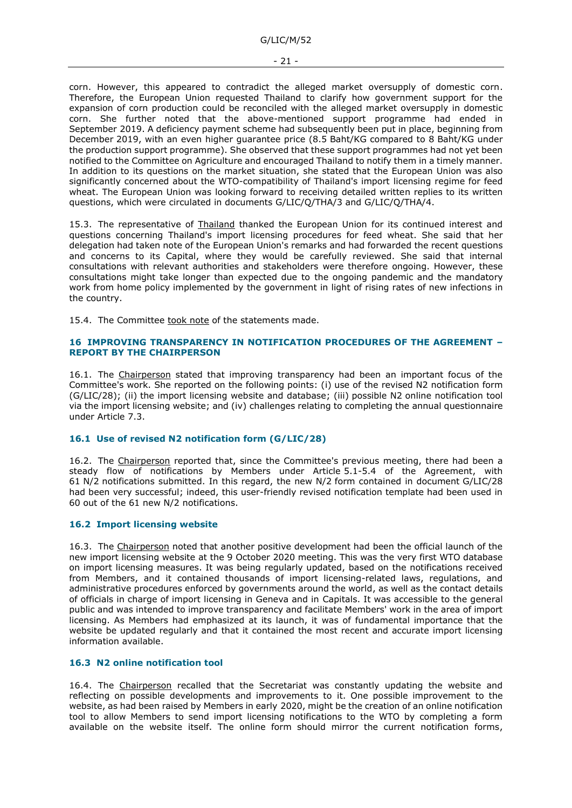corn. However, this appeared to contradict the alleged market oversupply of domestic corn. Therefore, the European Union requested Thailand to clarify how government support for the expansion of corn production could be reconciled with the alleged market oversupply in domestic corn. She further noted that the above-mentioned support programme had ended in September 2019. A deficiency payment scheme had subsequently been put in place, beginning from December 2019, with an even higher guarantee price (8.5 Baht/KG compared to 8 Baht/KG under the production support programme). She observed that these support programmes had not yet been notified to the Committee on Agriculture and encouraged Thailand to notify them in a timely manner. In addition to its questions on the market situation, she stated that the European Union was also significantly concerned about the WTO-compatibility of Thailand's import licensing regime for feed wheat. The European Union was looking forward to receiving detailed written replies to its written questions, which were circulated in documents G/LIC/Q/THA/3 and G/LIC/Q/THA/4.

15.3. The representative of **Thailand** thanked the European Union for its continued interest and questions concerning Thailand's import licensing procedures for feed wheat. She said that her delegation had taken note of the European Union's remarks and had forwarded the recent questions and concerns to its Capital, where they would be carefully reviewed. She said that internal consultations with relevant authorities and stakeholders were therefore ongoing. However, these consultations might take longer than expected due to the ongoing pandemic and the mandatory work from home policy implemented by the government in light of rising rates of new infections in the country.

15.4. The Committee took note of the statements made.

#### <span id="page-20-0"></span>**16 IMPROVING TRANSPARENCY IN NOTIFICATION PROCEDURES OF THE AGREEMENT – REPORT BY THE CHAIRPERSON**

16.1. The Chairperson stated that improving transparency had been an important focus of the Committee's work. She reported on the following points: (i) use of the revised N2 notification form (G/LIC/28); (ii) the import licensing website and database; (iii) possible N2 online notification tool via the import licensing website; and (iv) challenges relating to completing the annual questionnaire under Article 7.3.

## <span id="page-20-1"></span>**16.1 Use of revised N2 notification form (G/LIC/28)**

16.2. The Chairperson reported that, since the Committee's previous meeting, there had been a steady flow of notifications by Members under Article 5.1-5.4 of the Agreement, with 61 N/2 notifications submitted. In this regard, the new N/2 form contained in document G/LIC/28 had been very successful; indeed, this user-friendly revised notification template had been used in 60 out of the 61 new N/2 notifications.

## <span id="page-20-2"></span>**16.2 Import licensing website**

16.3. The Chairperson noted that another positive development had been the official launch of the new import licensing website at the 9 October 2020 meeting. This was the very first WTO database on import licensing measures. It was being regularly updated, based on the notifications received from Members, and it contained thousands of import licensing-related laws, regulations, and administrative procedures enforced by governments around the world, as well as the contact details of officials in charge of import licensing in Geneva and in Capitals. It was accessible to the general public and was intended to improve transparency and facilitate Members' work in the area of import licensing. As Members had emphasized at its launch, it was of fundamental importance that the website be updated regularly and that it contained the most recent and accurate import licensing information available.

#### <span id="page-20-3"></span>**16.3 N2 online notification tool**

16.4. The Chairperson recalled that the Secretariat was constantly updating the website and reflecting on possible developments and improvements to it. One possible improvement to the website, as had been raised by Members in early 2020, might be the creation of an online notification tool to allow Members to send import licensing notifications to the WTO by completing a form available on the website itself. The online form should mirror the current notification forms,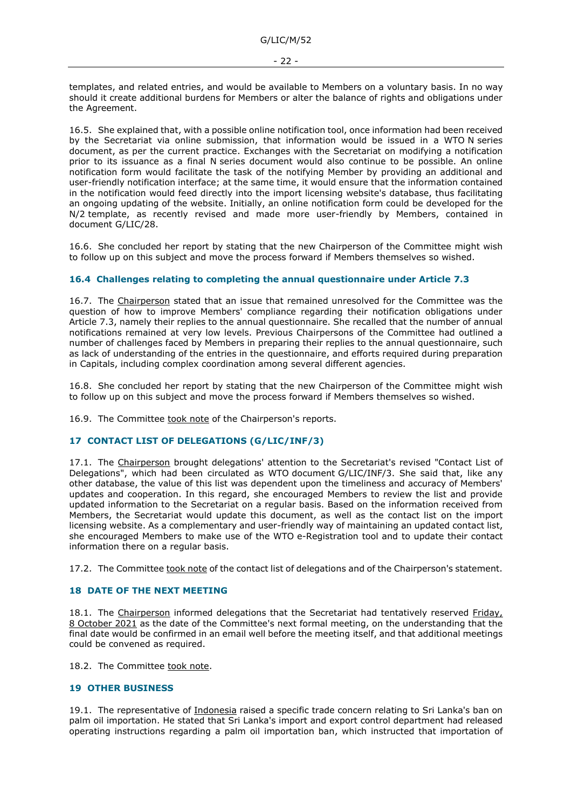templates, and related entries, and would be available to Members on a voluntary basis. In no way should it create additional burdens for Members or alter the balance of rights and obligations under the Agreement.

16.5. She explained that, with a possible online notification tool, once information had been received by the Secretariat via online submission, that information would be issued in a WTO N series document, as per the current practice. Exchanges with the Secretariat on modifying a notification prior to its issuance as a final N series document would also continue to be possible. An online notification form would facilitate the task of the notifying Member by providing an additional and user-friendly notification interface; at the same time, it would ensure that the information contained in the notification would feed directly into the import licensing website's database, thus facilitating an ongoing updating of the website. Initially, an online notification form could be developed for the N/2 template, as recently revised and made more user-friendly by Members, contained in document G/LIC/28.

16.6. She concluded her report by stating that the new Chairperson of the Committee might wish to follow up on this subject and move the process forward if Members themselves so wished.

## <span id="page-21-0"></span>**16.4 Challenges relating to completing the annual questionnaire under Article 7.3**

16.7. The Chairperson stated that an issue that remained unresolved for the Committee was the question of how to improve Members' compliance regarding their notification obligations under Article 7.3, namely their replies to the annual questionnaire. She recalled that the number of annual notifications remained at very low levels. Previous Chairpersons of the Committee had outlined a number of challenges faced by Members in preparing their replies to the annual questionnaire, such as lack of understanding of the entries in the questionnaire, and efforts required during preparation in Capitals, including complex coordination among several different agencies.

16.8. She concluded her report by stating that the new Chairperson of the Committee might wish to follow up on this subject and move the process forward if Members themselves so wished.

16.9. The Committee took note of the Chairperson's reports.

# <span id="page-21-1"></span>**17 CONTACT LIST OF DELEGATIONS (G/LIC/INF/3)**

17.1. The Chairperson brought delegations' attention to the Secretariat's revised "Contact List of Delegations", which had been circulated as WTO document G/LIC/INF/3. She said that, like any other database, the value of this list was dependent upon the timeliness and accuracy of Members' updates and cooperation. In this regard, she encouraged Members to review the list and provide updated information to the Secretariat on a regular basis. Based on the information received from Members, the Secretariat would update this document, as well as the contact list on the import licensing website. As a complementary and user-friendly way of maintaining an updated contact list, she encouraged Members to make use of the WTO e-Registration tool and to update their contact information there on a regular basis.

17.2. The Committee took note of the contact list of delegations and of the Chairperson's statement.

## <span id="page-21-2"></span>**18 DATE OF THE NEXT MEETING**

18.1. The Chairperson informed delegations that the Secretariat had tentatively reserved Friday, 8 October 2021 as the date of the Committee's next formal meeting, on the understanding that the final date would be confirmed in an email well before the meeting itself, and that additional meetings could be convened as required.

18.2. The Committee took note.

## <span id="page-21-3"></span>**19 OTHER BUSINESS**

19.1. The representative of Indonesia raised a specific trade concern relating to Sri Lanka's ban on palm oil importation. He stated that Sri Lanka's import and export control department had released operating instructions regarding a palm oil importation ban, which instructed that importation of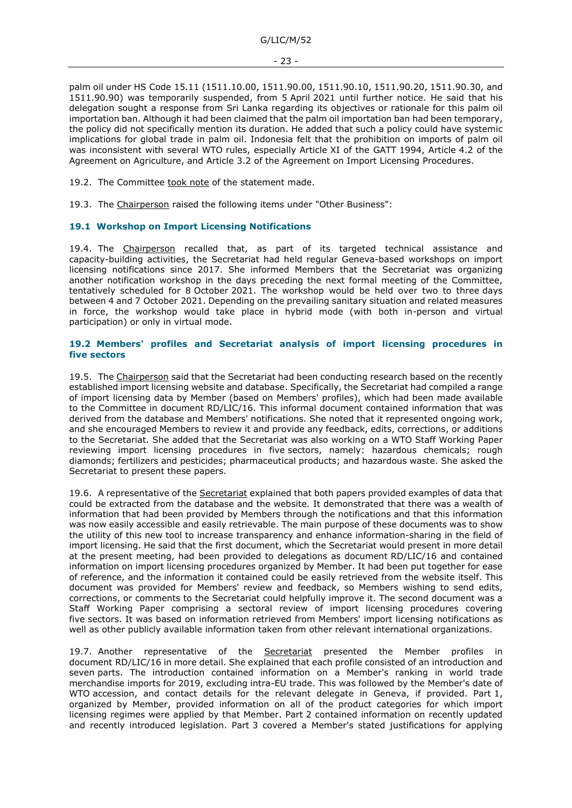palm oil under HS Code 15.11 (1511.10.00, 1511.90.00, 1511.90.10, 1511.90.20, 1511.90.30, and 1511.90.90) was temporarily suspended, from 5 April 2021 until further notice. He said that his delegation sought a response from Sri Lanka regarding its objectives or rationale for this palm oil importation ban. Although it had been claimed that the palm oil importation ban had been temporary, the policy did not specifically mention its duration. He added that such a policy could have systemic implications for global trade in palm oil. Indonesia felt that the prohibition on imports of palm oil was inconsistent with several WTO rules, especially Article XI of the GATT 1994, Article 4.2 of the Agreement on Agriculture, and Article 3.2 of the Agreement on Import Licensing Procedures.

19.2. The Committee took note of the statement made.

19.3. The Chairperson raised the following items under "Other Business":

#### <span id="page-22-0"></span>**19.1 Workshop on Import Licensing Notifications**

19.4. The Chairperson recalled that, as part of its targeted technical assistance and capacity-building activities, the Secretariat had held regular Geneva-based workshops on import licensing notifications since 2017. She informed Members that the Secretariat was organizing another notification workshop in the days preceding the next formal meeting of the Committee, tentatively scheduled for 8 October 2021. The workshop would be held over two to three days between 4 and 7 October 2021. Depending on the prevailing sanitary situation and related measures in force, the workshop would take place in hybrid mode (with both in-person and virtual participation) or only in virtual mode.

#### <span id="page-22-1"></span>**19.2 Members' profiles and Secretariat analysis of import licensing procedures in five sectors**

19.5. The Chairperson said that the Secretariat had been conducting research based on the recently established import licensing website and database. Specifically, the Secretariat had compiled a range of import licensing data by Member (based on Members' profiles), which had been made available to the Committee in document RD/LIC/16. This informal document contained information that was derived from the database and Members' notifications. She noted that it represented ongoing work, and she encouraged Members to review it and provide any feedback, edits, corrections, or additions to the Secretariat. She added that the Secretariat was also working on a WTO Staff Working Paper reviewing import licensing procedures in five sectors, namely: hazardous chemicals; rough diamonds; fertilizers and pesticides; pharmaceutical products; and hazardous waste. She asked the Secretariat to present these papers.

19.6. A representative of the Secretariat explained that both papers provided examples of data that could be extracted from the database and the website. It demonstrated that there was a wealth of information that had been provided by Members through the notifications and that this information was now easily accessible and easily retrievable. The main purpose of these documents was to show the utility of this new tool to increase transparency and enhance information-sharing in the field of import licensing. He said that the first document, which the Secretariat would present in more detail at the present meeting, had been provided to delegations as document RD/LIC/16 and contained information on import licensing procedures organized by Member. It had been put together for ease of reference, and the information it contained could be easily retrieved from the website itself. This document was provided for Members' review and feedback, so Members wishing to send edits, corrections, or comments to the Secretariat could helpfully improve it. The second document was a Staff Working Paper comprising a sectoral review of import licensing procedures covering five sectors. It was based on information retrieved from Members' import licensing notifications as well as other publicly available information taken from other relevant international organizations.

19.7. Another representative of the **Secretariat** presented the Member profiles in document RD/LIC/16 in more detail. She explained that each profile consisted of an introduction and seven parts. The introduction contained information on a Member's ranking in world trade merchandise imports for 2019, excluding intra-EU trade. This was followed by the Member's date of WTO accession, and contact details for the relevant delegate in Geneva, if provided. Part 1, organized by Member, provided information on all of the product categories for which import licensing regimes were applied by that Member. Part 2 contained information on recently updated and recently introduced legislation. Part 3 covered a Member's stated justifications for applying